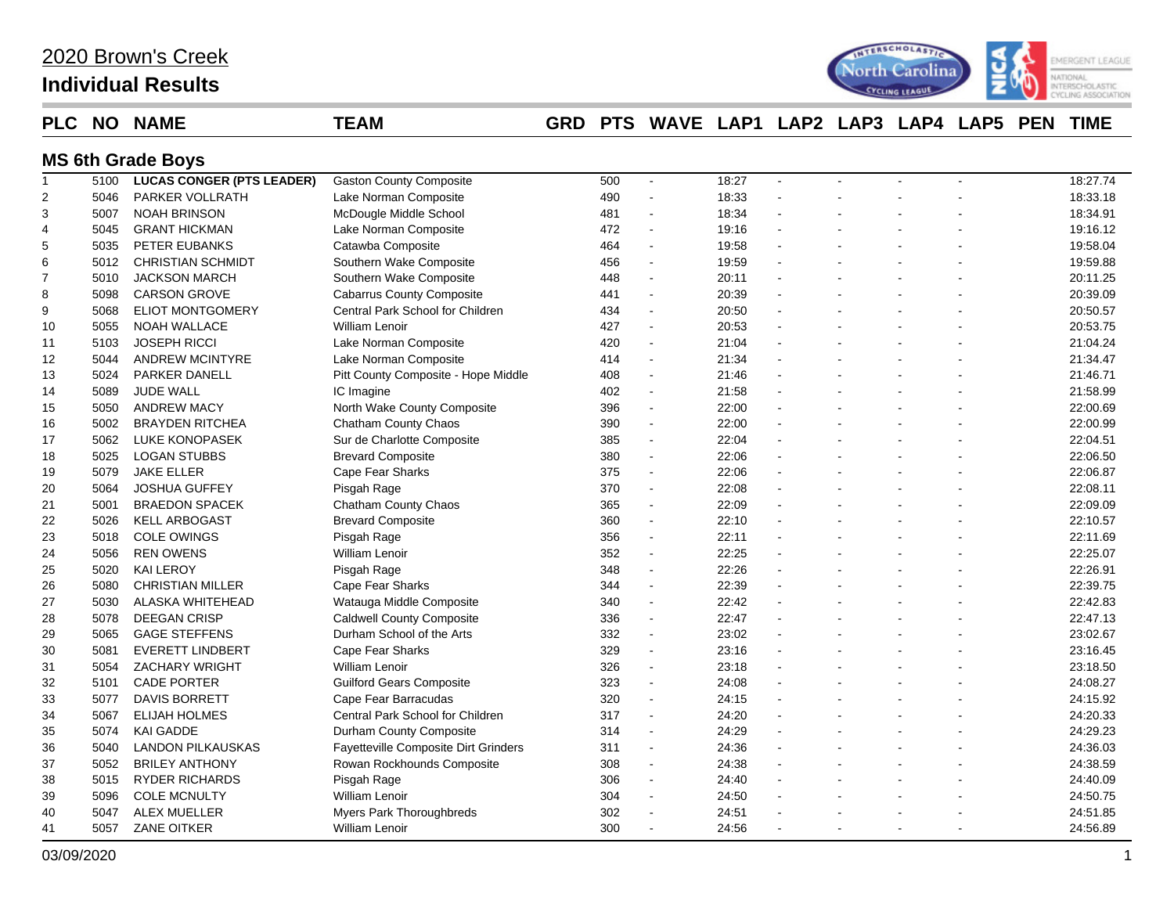## **Individual Results**



### **PLC NO NAME TEAM GRD PTS WAVE LAP1 LAP2 LAP3 LAP4 LAP5 PEN TIME**

### **MS 6th Grade Boys**

| $\mathbf{1}$   | 5100 | <b>LUCAS CONGER (PTS LEADER)</b> | <b>Gaston County Composite</b>       | 500 | $\sim$               | 18:27 | $\blacksquare$ |   | 18:27.74 |
|----------------|------|----------------------------------|--------------------------------------|-----|----------------------|-------|----------------|---|----------|
| $\overline{2}$ | 5046 | PARKER VOLLRATH                  | Lake Norman Composite                | 490 | $\blacksquare$       | 18:33 |                |   | 18:33.18 |
| 3              | 5007 | <b>NOAH BRINSON</b>              | McDougle Middle School               | 481 | $\blacksquare$       | 18:34 |                |   | 18:34.91 |
| 4              | 5045 | <b>GRANT HICKMAN</b>             | Lake Norman Composite                | 472 | $\blacksquare$       | 19:16 |                |   | 19:16.12 |
| 5              | 5035 | PETER EUBANKS                    | Catawba Composite                    | 464 | $\ddot{\phantom{a}}$ | 19:58 |                |   | 19:58.04 |
| 6              | 5012 | <b>CHRISTIAN SCHMIDT</b>         | Southern Wake Composite              | 456 | $\blacksquare$       | 19:59 |                |   | 19:59.88 |
| $\overline{7}$ | 5010 | <b>JACKSON MARCH</b>             | Southern Wake Composite              | 448 | $\sim$               | 20:11 |                |   | 20:11.25 |
| 8              | 5098 | <b>CARSON GROVE</b>              | <b>Cabarrus County Composite</b>     | 441 | $\blacksquare$       | 20:39 |                |   | 20:39.09 |
| 9              | 5068 | <b>ELIOT MONTGOMERY</b>          | Central Park School for Children     | 434 | $\sim$               | 20:50 |                |   | 20:50.57 |
| 10             | 5055 | <b>NOAH WALLACE</b>              | <b>William Lenoir</b>                | 427 | $\sim$               | 20:53 |                |   | 20:53.75 |
| 11             | 5103 | <b>JOSEPH RICCI</b>              | Lake Norman Composite                | 420 | $\sim$               | 21:04 |                |   | 21:04.24 |
| 12             | 5044 | <b>ANDREW MCINTYRE</b>           | Lake Norman Composite                | 414 | $\overline{a}$       | 21:34 |                |   | 21:34.47 |
| 13             | 5024 | <b>PARKER DANELL</b>             | Pitt County Composite - Hope Middle  | 408 | $\mathbf{r}$         | 21:46 |                |   | 21:46.71 |
| 14             | 5089 | JUDE WALL                        | IC Imagine                           | 402 | $\blacksquare$       | 21:58 |                |   | 21:58.99 |
| 15             | 5050 | <b>ANDREW MACY</b>               | North Wake County Composite          | 396 | $\blacksquare$       | 22:00 |                |   | 22:00.69 |
| 16             | 5002 | <b>BRAYDEN RITCHEA</b>           | Chatham County Chaos                 | 390 | $\blacksquare$       | 22:00 |                |   | 22:00.99 |
| 17             | 5062 | LUKE KONOPASEK                   | Sur de Charlotte Composite           | 385 | $\blacksquare$       | 22:04 |                |   | 22:04.51 |
| 18             | 5025 | <b>LOGAN STUBBS</b>              | <b>Brevard Composite</b>             | 380 | $\blacksquare$       | 22:06 |                |   | 22:06.50 |
| 19             | 5079 | <b>JAKE ELLER</b>                | Cape Fear Sharks                     | 375 | $\sim$               | 22:06 | $\blacksquare$ |   | 22:06.87 |
| 20             | 5064 | <b>JOSHUA GUFFEY</b>             | Pisgah Rage                          | 370 | $\sim$               | 22:08 |                |   | 22:08.11 |
| 21             | 5001 | <b>BRAEDON SPACEK</b>            | Chatham County Chaos                 | 365 | $\sim$               | 22:09 |                |   | 22:09.09 |
| 22             | 5026 | <b>KELL ARBOGAST</b>             | <b>Brevard Composite</b>             | 360 | $\sim$               | 22:10 |                |   | 22:10.57 |
| 23             | 5018 | <b>COLE OWINGS</b>               | Pisgah Rage                          | 356 | $\ddot{\phantom{a}}$ | 22:11 |                |   | 22:11.69 |
| 24             | 5056 | <b>REN OWENS</b>                 | William Lenoir                       | 352 | $\blacksquare$       | 22:25 |                |   | 22:25.07 |
| 25             | 5020 | <b>KAI LEROY</b>                 | Pisgah Rage                          | 348 | $\sim$               | 22:26 |                |   | 22:26.91 |
| 26             | 5080 | <b>CHRISTIAN MILLER</b>          | Cape Fear Sharks                     | 344 | $\mathbf{r}$         | 22:39 | $\overline{a}$ |   | 22:39.75 |
| 27             | 5030 | <b>ALASKA WHITEHEAD</b>          | Watauga Middle Composite             | 340 | $\ddot{\phantom{a}}$ | 22:42 |                |   | 22:42.83 |
| 28             | 5078 | DEEGAN CRISP                     | <b>Caldwell County Composite</b>     | 336 | $\ddot{\phantom{a}}$ | 22:47 |                |   | 22:47.13 |
| 29             | 5065 | <b>GAGE STEFFENS</b>             | Durham School of the Arts            | 332 | $\blacksquare$       | 23:02 |                |   | 23:02.67 |
| 30             | 5081 | <b>EVERETT LINDBERT</b>          | Cape Fear Sharks                     | 329 | $\blacksquare$       | 23:16 |                |   | 23:16.45 |
| 31             | 5054 | <b>ZACHARY WRIGHT</b>            | William Lenoir                       | 326 | $\sim$               | 23:18 |                |   | 23:18.50 |
| 32             | 5101 | <b>CADE PORTER</b>               | <b>Guilford Gears Composite</b>      | 323 | $\sim$               | 24:08 |                |   | 24:08.27 |
| 33             | 5077 | <b>DAVIS BORRETT</b>             | Cape Fear Barracudas                 | 320 | $\blacksquare$       | 24:15 |                |   | 24:15.92 |
| 34             | 5067 | <b>ELIJAH HOLMES</b>             | Central Park School for Children     | 317 | $\sim$               | 24:20 |                |   | 24:20.33 |
| 35             | 5074 | <b>KAI GADDE</b>                 | Durham County Composite              | 314 | $\sim$               | 24:29 | $\overline{a}$ |   | 24:29.23 |
| 36             | 5040 | <b>LANDON PILKAUSKAS</b>         | Fayetteville Composite Dirt Grinders | 311 | $\blacksquare$       | 24:36 |                |   | 24:36.03 |
| 37             | 5052 | <b>BRILEY ANTHONY</b>            | Rowan Rockhounds Composite           | 308 | $\blacksquare$       | 24:38 | $\blacksquare$ |   | 24:38.59 |
| 38             | 5015 | <b>RYDER RICHARDS</b>            | Pisgah Rage                          | 306 | $\ddot{\phantom{a}}$ | 24:40 |                |   | 24:40.09 |
| 39             | 5096 | <b>COLE MCNULTY</b>              | William Lenoir                       | 304 | L.                   | 24:50 |                |   | 24:50.75 |
| 40             | 5047 | <b>ALEX MUELLER</b>              | Myers Park Thoroughbreds             | 302 | $\overline{a}$       | 24:51 |                |   | 24:51.85 |
| 41             | 5057 | <b>ZANE OITKER</b>               | <b>William Lenoir</b>                | 300 | $\sim$               | 24:56 | ÷.             | ÷ | 24:56.89 |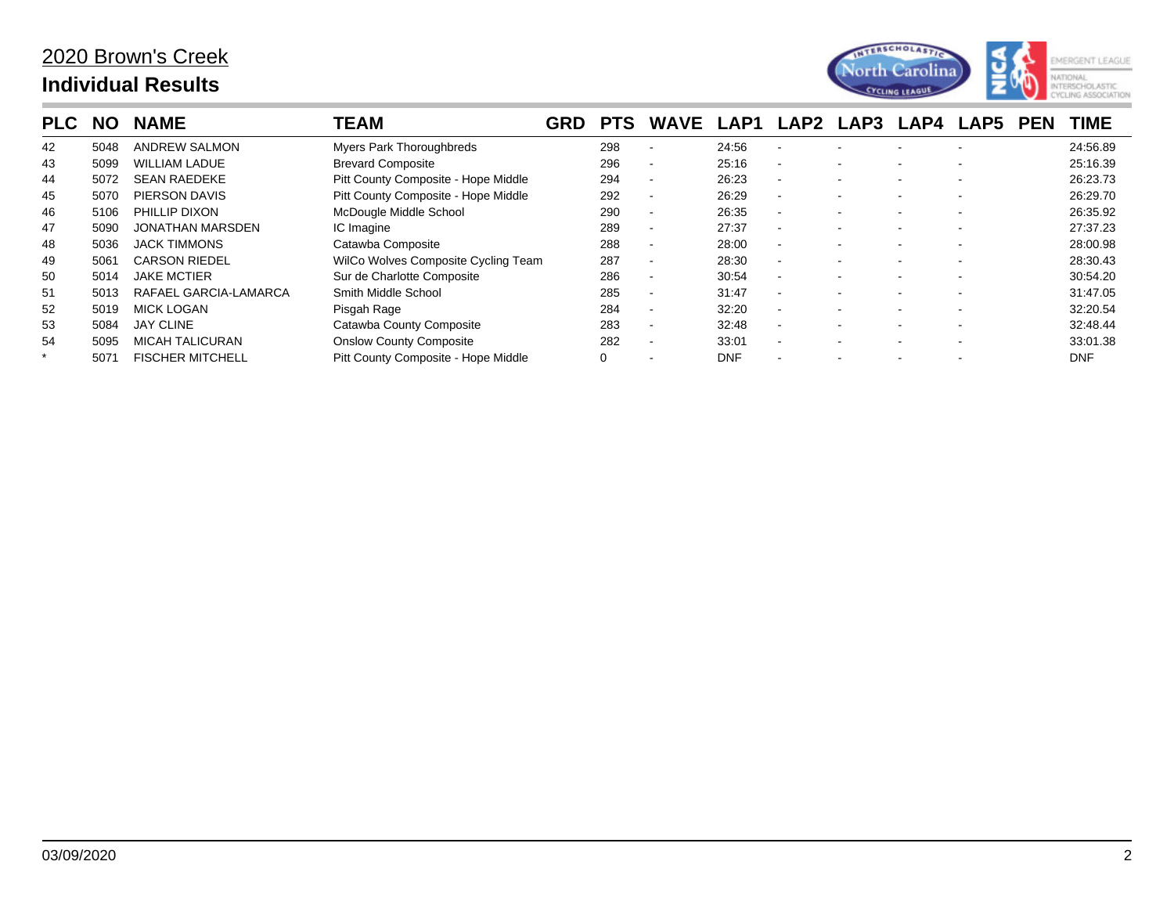

| <b>PLC</b> | <b>NO</b> | <b>NAME</b>             | TEAM                                | GRD | <b>PTS</b> | <b>WAVE</b>              | LAP1       | LAP2                     | LAP3                     | <b>LAP4</b> | LAP5                     | <b>PEN</b> | <b>TIME</b> |
|------------|-----------|-------------------------|-------------------------------------|-----|------------|--------------------------|------------|--------------------------|--------------------------|-------------|--------------------------|------------|-------------|
| 42         | 5048      | <b>ANDREW SALMON</b>    | Myers Park Thoroughbreds            |     | 298        |                          | 24:56      |                          |                          |             |                          |            | 24:56.89    |
| 43         | 5099      | <b>WILLIAM LADUE</b>    | <b>Brevard Composite</b>            |     | 296        |                          | 25:16      |                          |                          |             |                          |            | 25:16.39    |
| 44         | 5072      | <b>SEAN RAEDEKE</b>     | Pitt County Composite - Hope Middle |     | 294        | $\overline{\phantom{a}}$ | 26:23      | $\sim$                   | $\overline{\phantom{0}}$ | $\sim$      | $\overline{\phantom{a}}$ |            | 26:23.73    |
| 45         | 5070      | PIERSON DAVIS           | Pitt County Composite - Hope Middle |     | 292        | $\overline{\phantom{a}}$ | 26:29      |                          |                          |             |                          |            | 26:29.70    |
| 46         | 5106      | PHILLIP DIXON           | McDougle Middle School              |     | 290        | $\overline{\phantom{a}}$ | 26:35      | $\overline{\phantom{a}}$ |                          | $\sim$      |                          |            | 26:35.92    |
| 47         | 5090      | <b>JONATHAN MARSDEN</b> | IC Imagine                          |     | 289        | $\overline{\phantom{a}}$ | 27:37      | $\overline{\phantom{a}}$ | $\overline{\phantom{0}}$ |             | $\overline{\phantom{a}}$ |            | 27:37.23    |
| 48         | 5036      | <b>JACK TIMMONS</b>     | Catawba Composite                   |     | 288        |                          | 28:00      |                          |                          |             |                          |            | 28:00.98    |
| 49         | 5061      | <b>CARSON RIEDEL</b>    | WilCo Wolves Composite Cycling Team |     | 287        | $\overline{\phantom{a}}$ | 28:30      | $\sim$                   | $\overline{\phantom{a}}$ | $\sim$      | $\overline{\phantom{a}}$ |            | 28:30.43    |
| 50         | 5014      | <b>JAKE MCTIER</b>      | Sur de Charlotte Composite          |     | 286        | $\overline{\phantom{a}}$ | 30:54      | $\sim$                   | $\sim$                   | $\sim$      | $\overline{\phantom{a}}$ |            | 30:54.20    |
| 51         | 5013      | RAFAEL GARCIA-LAMARCA   | Smith Middle School                 |     | 285        | $\overline{\phantom{a}}$ | 31:47      |                          |                          |             |                          |            | 31:47.05    |
| 52         | 5019      | <b>MICK LOGAN</b>       | Pisgah Rage                         |     | 284        | $\overline{\phantom{a}}$ | 32:20      |                          |                          |             | $\overline{\phantom{a}}$ |            | 32:20.54    |
| 53         | 5084      | <b>JAY CLINE</b>        | Catawba County Composite            |     | 283        | $\overline{\phantom{a}}$ | 32:48      | $\sim$                   |                          | $\sim$      |                          |            | 32:48.44    |
| 54         | 5095      | <b>MICAH TALICURAN</b>  | <b>Onslow County Composite</b>      |     | 282        | $\overline{\phantom{a}}$ | 33:01      |                          | $\overline{\phantom{0}}$ | $\sim$      | $\overline{\phantom{a}}$ |            | 33:01.38    |
|            | 507'      | <b>FISCHER MITCHELL</b> | Pitt County Composite - Hope Middle |     |            |                          | <b>DNF</b> |                          |                          |             |                          |            | <b>DNF</b>  |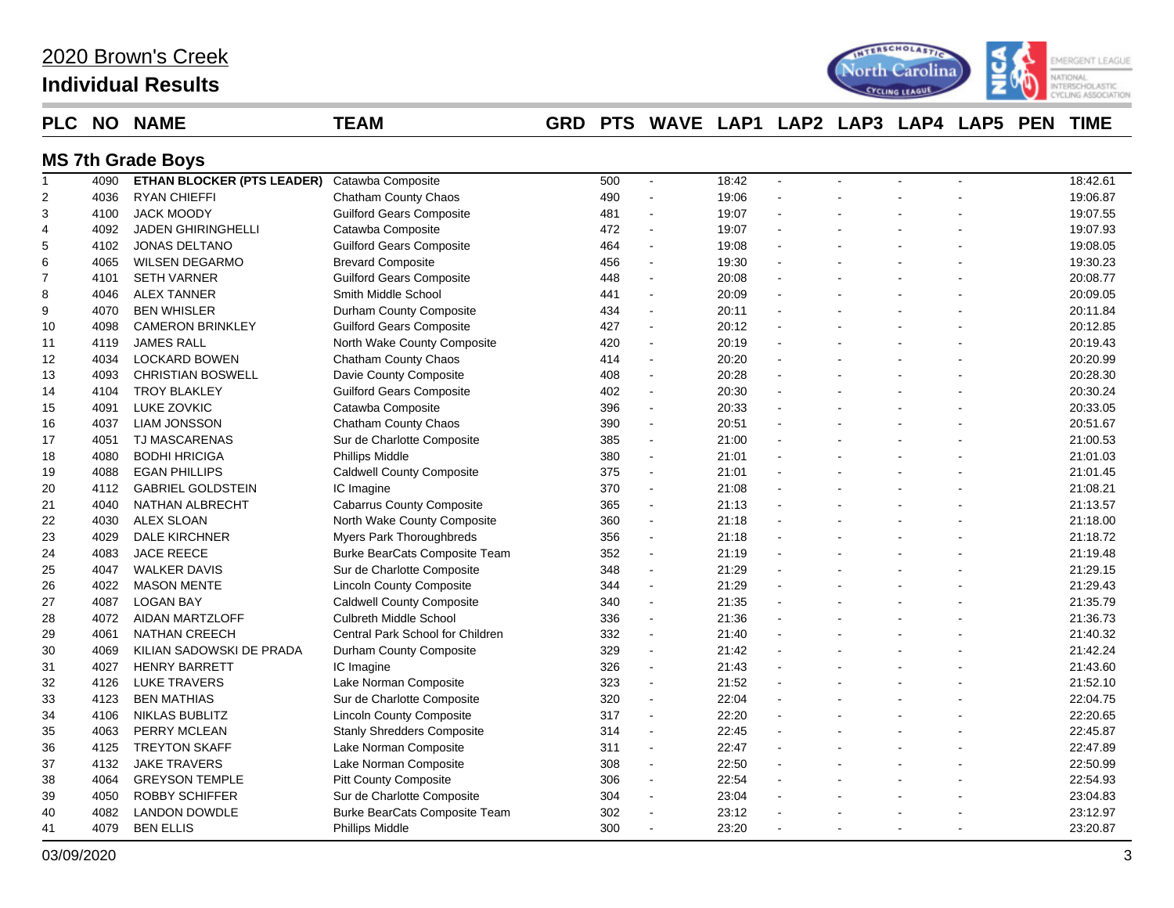| 2020 Brown's Creek |
|--------------------|
|--------------------|

## **Individual Results**



### **PLC NO NAME TEAM GRD PTS WAVE LAP1 LAP2 LAP3 LAP4 LAP5 PEN TIME**

# **MS 7th Grade Boys**

| $\mathbf{1}$   | 4090 | <b>ETHAN BLOCKER (PTS LEADER)</b> | Catawba Composite                    | 500 | $\blacksquare$           | 18:42 | $\sim$         |   | 18:42.61 |
|----------------|------|-----------------------------------|--------------------------------------|-----|--------------------------|-------|----------------|---|----------|
| $\overline{c}$ | 4036 | <b>RYAN CHIEFFI</b>               | Chatham County Chaos                 | 490 | L,                       | 19:06 |                |   | 19:06.87 |
| 3              | 4100 | <b>JACK MOODY</b>                 | <b>Guilford Gears Composite</b>      | 481 | $\blacksquare$           | 19:07 | $\mathbf{r}$   |   | 19:07.55 |
| 4              | 4092 | <b>JADEN GHIRINGHELLI</b>         | Catawba Composite                    | 472 | $\blacksquare$           | 19:07 |                |   | 19:07.93 |
| 5              | 4102 | <b>JONAS DELTANO</b>              | <b>Guilford Gears Composite</b>      | 464 | $\blacksquare$           | 19:08 | $\sim$         |   | 19:08.05 |
| 6              | 4065 | <b>WILSEN DEGARMO</b>             | <b>Brevard Composite</b>             | 456 | $\blacksquare$           | 19:30 | $\mathbf{r}$   |   | 19:30.23 |
| $\overline{7}$ | 4101 | <b>SETH VARNER</b>                | <b>Guilford Gears Composite</b>      | 448 | L,                       | 20:08 |                |   | 20:08.77 |
| 8              | 4046 | <b>ALEX TANNER</b>                | Smith Middle School                  | 441 | L.                       | 20:09 |                |   | 20:09.05 |
| 9              | 4070 | <b>BEN WHISLER</b>                | Durham County Composite              | 434 | $\sim$                   | 20:11 | $\overline{a}$ |   | 20:11.84 |
| 10             | 4098 | <b>CAMERON BRINKLEY</b>           | <b>Guilford Gears Composite</b>      | 427 | $\blacksquare$           | 20:12 | $\overline{a}$ |   | 20:12.85 |
| 11             | 4119 | <b>JAMES RALL</b>                 | North Wake County Composite          | 420 | $\overline{\phantom{a}}$ | 20:19 |                |   | 20:19.43 |
| 12             | 4034 | <b>LOCKARD BOWEN</b>              | Chatham County Chaos                 | 414 | $\blacksquare$           | 20:20 |                |   | 20:20.99 |
| 13             | 4093 | <b>CHRISTIAN BOSWELL</b>          | Davie County Composite               | 408 | $\overline{a}$           | 20:28 |                |   | 20:28.30 |
| 14             | 4104 | <b>TROY BLAKLEY</b>               | <b>Guilford Gears Composite</b>      | 402 | $\blacksquare$           | 20:30 | $\mathbf{r}$   |   | 20:30.24 |
| 15             | 4091 | LUKE ZOVKIC                       | Catawba Composite                    | 396 | $\blacksquare$           | 20:33 |                |   | 20:33.05 |
| 16             | 4037 | <b>LIAM JONSSON</b>               | Chatham County Chaos                 | 390 | $\tilde{\phantom{a}}$    | 20:51 |                |   | 20:51.67 |
| 17             | 4051 | <b>TJ MASCARENAS</b>              | Sur de Charlotte Composite           | 385 | $\overline{a}$           | 21:00 |                |   | 21:00.53 |
| 18             | 4080 | <b>BODHI HRICIGA</b>              | Phillips Middle                      | 380 | $\blacksquare$           | 21:01 |                |   | 21:01.03 |
| 19             | 4088 | <b>EGAN PHILLIPS</b>              | <b>Caldwell County Composite</b>     | 375 | $\sim$                   | 21:01 | $\overline{a}$ |   | 21:01.45 |
| 20             | 4112 | <b>GABRIEL GOLDSTEIN</b>          | IC Imagine                           | 370 | $\sim$                   | 21:08 |                |   | 21:08.21 |
| 21             | 4040 | NATHAN ALBRECHT                   | <b>Cabarrus County Composite</b>     | 365 | $\blacksquare$           | 21:13 | $\mathbf{r}$   |   | 21:13.57 |
| 22             | 4030 | <b>ALEX SLOAN</b>                 | North Wake County Composite          | 360 | $\sim$                   | 21:18 |                |   | 21:18.00 |
| 23             | 4029 | DALE KIRCHNER                     | Myers Park Thoroughbreds             | 356 | $\blacksquare$           | 21:18 |                |   | 21:18.72 |
| 24             | 4083 | <b>JACE REECE</b>                 | Burke BearCats Composite Team        | 352 | $\tilde{\phantom{a}}$    | 21:19 |                |   | 21:19.48 |
| 25             | 4047 | <b>WALKER DAVIS</b>               | Sur de Charlotte Composite           | 348 | $\tilde{\phantom{a}}$    | 21:29 | $\overline{a}$ |   | 21:29.15 |
| 26             | 4022 | <b>MASON MENTE</b>                | <b>Lincoln County Composite</b>      | 344 | $\tilde{\phantom{a}}$    | 21:29 | $\mathbf{r}$   |   | 21:29.43 |
| 27             | 4087 | <b>LOGAN BAY</b>                  | <b>Caldwell County Composite</b>     | 340 | $\blacksquare$           | 21:35 |                |   | 21:35.79 |
| 28             | 4072 | AIDAN MARTZLOFF                   | <b>Culbreth Middle School</b>        | 336 | $\overline{a}$           | 21:36 |                |   | 21:36.73 |
| 29             | 4061 | <b>NATHAN CREECH</b>              | Central Park School for Children     | 332 | ä,                       | 21:40 |                |   | 21:40.32 |
| 30             | 4069 | KILIAN SADOWSKI DE PRADA          | Durham County Composite              | 329 | $\tilde{\phantom{a}}$    | 21:42 | $\overline{a}$ |   | 21:42.24 |
| 31             | 4027 | <b>HENRY BARRETT</b>              | IC Imagine                           | 326 | $\sim$                   | 21:43 |                |   | 21:43.60 |
| 32             | 4126 | <b>LUKE TRAVERS</b>               | Lake Norman Composite                | 323 | $\blacksquare$           | 21:52 |                |   | 21:52.10 |
| 33             | 4123 | <b>BEN MATHIAS</b>                | Sur de Charlotte Composite           | 320 | $\overline{\phantom{a}}$ | 22:04 |                |   | 22:04.75 |
| 34             | 4106 | <b>NIKLAS BUBLITZ</b>             | <b>Lincoln County Composite</b>      | 317 | $\blacksquare$           | 22:20 |                |   | 22:20.65 |
| 35             | 4063 | PERRY MCLEAN                      | <b>Stanly Shredders Composite</b>    | 314 | $\tilde{\phantom{a}}$    | 22:45 | $\overline{a}$ |   | 22:45.87 |
| 36             | 4125 | <b>TREYTON SKAFF</b>              | Lake Norman Composite                | 311 | $\tilde{\phantom{a}}$    | 22:47 |                |   | 22:47.89 |
| 37             | 4132 | <b>JAKE TRAVERS</b>               | Lake Norman Composite                | 308 | $\blacksquare$           | 22:50 | $\mathbf{r}$   |   | 22:50.99 |
| 38             | 4064 | <b>GREYSON TEMPLE</b>             | <b>Pitt County Composite</b>         | 306 | $\blacksquare$           | 22:54 |                |   | 22:54.93 |
| 39             | 4050 | <b>ROBBY SCHIFFER</b>             | Sur de Charlotte Composite           | 304 | L,                       | 23:04 |                |   | 23:04.83 |
| 40             | 4082 | <b>LANDON DOWDLE</b>              | <b>Burke BearCats Composite Team</b> | 302 | $\sim$                   | 23:12 |                |   | 23:12.97 |
| 41             | 4079 | <b>BEN ELLIS</b>                  | <b>Phillips Middle</b>               | 300 | $\overline{\phantom{a}}$ | 23:20 |                | ÷ | 23:20.87 |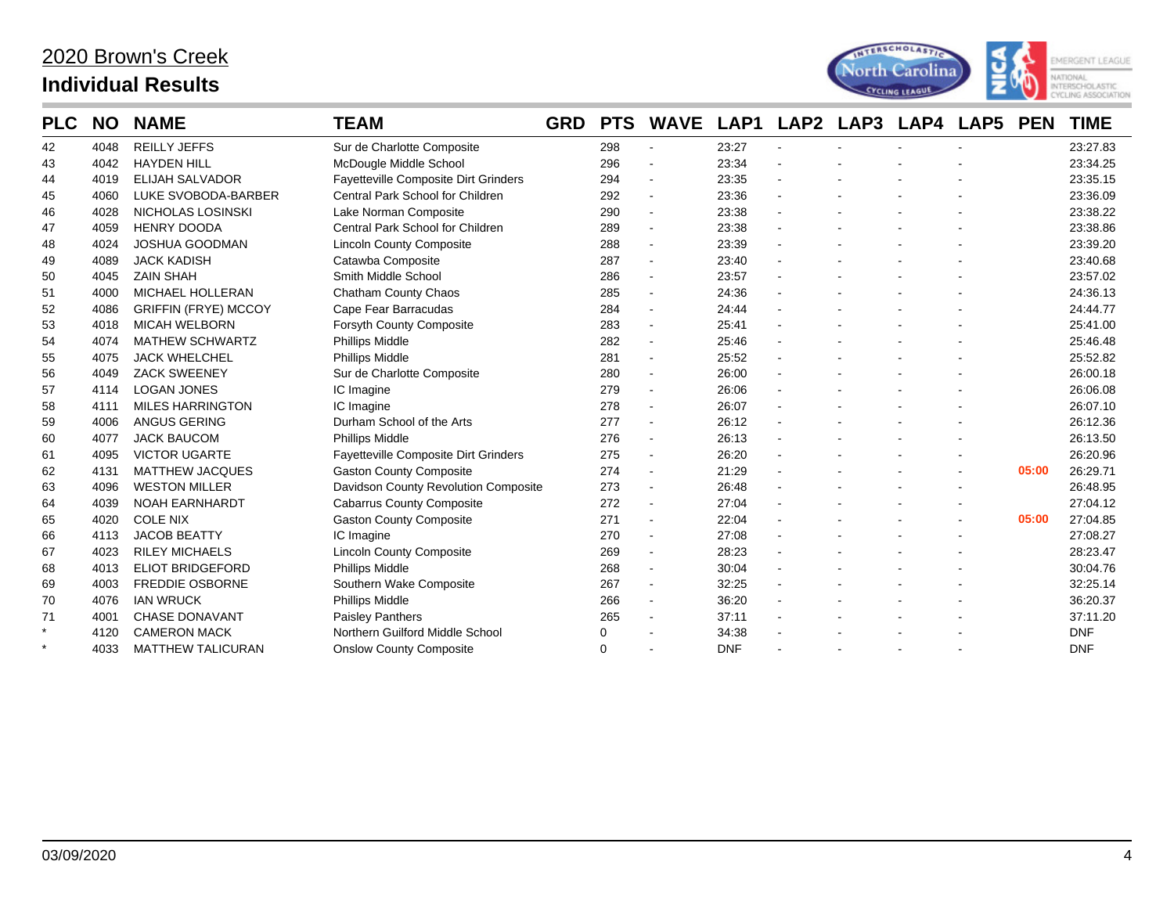

| <b>PLC</b> | <b>NO</b> | <b>NAME</b>                 | <b>TEAM</b>                          | <b>GRD</b> | <b>PTS</b> | <b>WAVE</b>              | LAP1       | LAP2           | LAP3 | LAP4 | LAP5 | <b>PEN</b> | <b>TIME</b> |
|------------|-----------|-----------------------------|--------------------------------------|------------|------------|--------------------------|------------|----------------|------|------|------|------------|-------------|
| 42         | 4048      | <b>REILLY JEFFS</b>         | Sur de Charlotte Composite           |            | 298        | $\sim$                   | 23:27      | $\mathbf{r}$   |      |      |      |            | 23:27.83    |
| 43         | 4042      | <b>HAYDEN HILL</b>          | McDougle Middle School               |            | 296        |                          | 23:34      |                |      |      |      |            | 23:34.25    |
| 44         | 4019      | <b>ELIJAH SALVADOR</b>      | Fayetteville Composite Dirt Grinders |            | 294        | $\sim$                   | 23:35      | L,             |      |      |      |            | 23:35.15    |
| 45         | 4060      | LUKE SVOBODA-BARBER         | Central Park School for Children     |            | 292        | $\sim$                   | 23:36      |                |      |      |      |            | 23:36.09    |
| 46         | 4028      | NICHOLAS LOSINSKI           | Lake Norman Composite                |            | 290        | $\sim$                   | 23:38      | $\sim$         |      |      |      |            | 23:38.22    |
| 47         | 4059      | <b>HENRY DOODA</b>          | Central Park School for Children     |            | 289        | $\sim$                   | 23:38      | $\mathbf{r}$   |      |      |      |            | 23:38.86    |
| 48         | 4024      | <b>JOSHUA GOODMAN</b>       | <b>Lincoln County Composite</b>      |            | 288        | $\overline{\phantom{a}}$ | 23:39      |                |      |      |      |            | 23:39.20    |
| 49         | 4089      | <b>JACK KADISH</b>          | Catawba Composite                    |            | 287        |                          | 23:40      | $\mathbf{r}$   |      |      |      |            | 23:40.68    |
| 50         | 4045      | <b>ZAIN SHAH</b>            | Smith Middle School                  |            | 286        | $\blacksquare$           | 23:57      |                |      |      |      |            | 23:57.02    |
| 51         | 4000      | <b>MICHAEL HOLLERAN</b>     | Chatham County Chaos                 |            | 285        | $\sim$                   | 24:36      |                |      |      |      |            | 24:36.13    |
| 52         | 4086      | <b>GRIFFIN (FRYE) MCCOY</b> | Cape Fear Barracudas                 |            | 284        |                          | 24:44      |                |      |      |      |            | 24:44.77    |
| 53         | 4018      | <b>MICAH WELBORN</b>        | Forsyth County Composite             |            | 283        | $\sim$                   | 25:41      |                |      |      |      |            | 25:41.00    |
| 54         | 4074      | <b>MATHEW SCHWARTZ</b>      | Phillips Middle                      |            | 282        | $\blacksquare$           | 25:46      |                |      |      |      |            | 25:46.48    |
| 55         | 4075      | <b>JACK WHELCHEL</b>        | Phillips Middle                      |            | 281        | $\sim$                   | 25:52      |                |      |      |      |            | 25:52.82    |
| 56         | 4049      | <b>ZACK SWEENEY</b>         | Sur de Charlotte Composite           |            | 280        |                          | 26:00      | $\overline{a}$ |      |      |      |            | 26:00.18    |
| 57         | 4114      | <b>LOGAN JONES</b>          | IC Imagine                           |            | 279        | $\sim$                   | 26:06      |                |      |      |      |            | 26:06.08    |
| 58         | 4111      | <b>MILES HARRINGTON</b>     | IC Imagine                           |            | 278        |                          | 26:07      | $\blacksquare$ |      |      |      |            | 26:07.10    |
| 59         | 4006      | ANGUS GERING                | Durham School of the Arts            |            | 277        |                          | 26:12      |                |      |      |      |            | 26:12.36    |
| 60         | 4077      | <b>JACK BAUCOM</b>          | <b>Phillips Middle</b>               |            | 276        |                          | 26:13      |                |      |      |      |            | 26:13.50    |
| 61         | 4095      | <b>VICTOR UGARTE</b>        | Fayetteville Composite Dirt Grinders |            | 275        |                          | 26:20      |                |      |      |      |            | 26:20.96    |
| 62         | 4131      | <b>MATTHEW JACQUES</b>      | <b>Gaston County Composite</b>       |            | 274        |                          | 21:29      | $\mathbf{r}$   |      |      |      | 05:00      | 26:29.71    |
| 63         | 4096      | <b>WESTON MILLER</b>        | Davidson County Revolution Composite |            | 273        | $\sim$                   | 26:48      |                |      |      |      |            | 26:48.95    |
| 64         | 4039      | <b>NOAH EARNHARDT</b>       | <b>Cabarrus County Composite</b>     |            | 272        | $\sim$                   | 27:04      |                |      |      |      |            | 27:04.12    |
| 65         | 4020      | <b>COLE NIX</b>             | <b>Gaston County Composite</b>       |            | 271        |                          | 22:04      |                |      |      |      | 05:00      | 27:04.85    |
| 66         | 4113      | <b>JACOB BEATTY</b>         | IC Imagine                           |            | 270        |                          | 27:08      |                |      |      |      |            | 27:08.27    |
| 67         | 4023      | <b>RILEY MICHAELS</b>       | <b>Lincoln County Composite</b>      |            | 269        | $\sim$                   | 28:23      | $\mathbf{r}$   |      |      |      |            | 28:23.47    |
| 68         | 4013      | <b>ELIOT BRIDGEFORD</b>     | Phillips Middle                      |            | 268        | $\blacksquare$           | 30:04      | $\sim$         |      |      |      |            | 30:04.76    |
| 69         | 4003      | <b>FREDDIE OSBORNE</b>      | Southern Wake Composite              |            | 267        |                          | 32:25      | $\mathbf{r}$   |      |      |      |            | 32:25.14    |
| 70         | 4076      | <b>IAN WRUCK</b>            | Phillips Middle                      |            | 266        | $\sim$                   | 36:20      |                |      |      |      |            | 36:20.37    |
| 71         | 4001      | <b>CHASE DONAVANT</b>       | Paisley Panthers                     |            | 265        |                          | 37:11      | $\blacksquare$ |      |      |      |            | 37:11.20    |
| $\star$    | 4120      | <b>CAMERON MACK</b>         | Northern Guilford Middle School      |            | 0          |                          | 34:38      |                |      |      |      |            | <b>DNF</b>  |
|            | 4033      | <b>MATTHEW TALICURAN</b>    | <b>Onslow County Composite</b>       |            | 0          |                          | <b>DNF</b> |                |      |      |      |            | <b>DNF</b>  |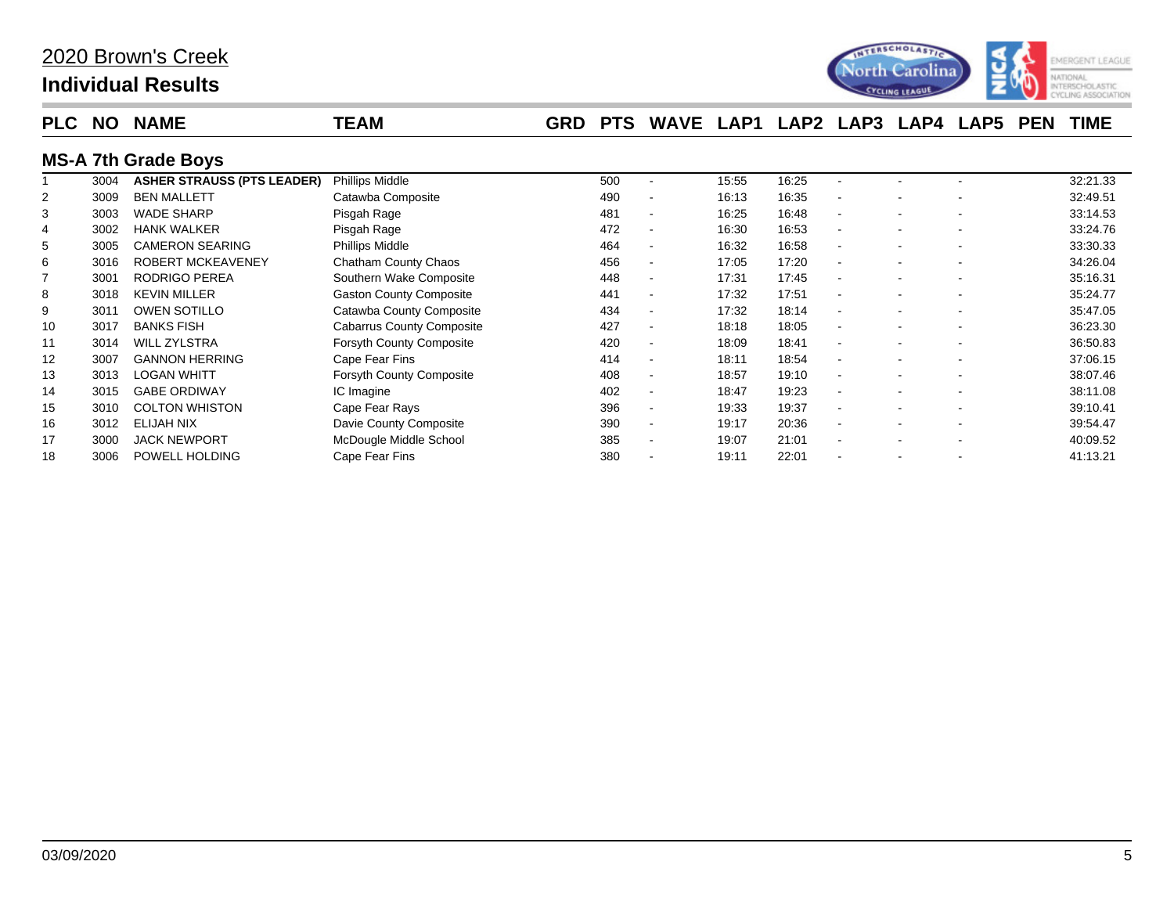

| <b>PLC</b>     | NO.  | <b>NAME</b>                       | <b>TEAM</b>                      | <b>GRD</b> | <b>PTS</b> | <b>WAVE</b>              | LAP1  | LAP <sub>2</sub> | LAP3 | LAP4 | LAP5 | <b>PEN</b> | <b>TIME</b> |
|----------------|------|-----------------------------------|----------------------------------|------------|------------|--------------------------|-------|------------------|------|------|------|------------|-------------|
|                |      | <b>MS-A 7th Grade Boys</b>        |                                  |            |            |                          |       |                  |      |      |      |            |             |
|                | 3004 | <b>ASHER STRAUSS (PTS LEADER)</b> | <b>Phillips Middle</b>           |            | 500        | $\overline{\phantom{a}}$ | 15:55 | 16:25            |      |      |      |            | 32:21.33    |
| 2              | 3009 | <b>BEN MALLETT</b>                | Catawba Composite                |            | 490        | $\overline{\phantom{a}}$ | 16:13 | 16:35            |      |      |      |            | 32:49.51    |
| 3              | 3003 | <b>WADE SHARP</b>                 | Pisgah Rage                      |            | 481        | $\overline{\phantom{a}}$ | 16:25 | 16:48            |      |      |      |            | 33:14.53    |
| 4              | 3002 | <b>HANK WALKER</b>                | Pisgah Rage                      |            | 472        | $\overline{\phantom{a}}$ | 16:30 | 16:53            |      |      |      |            | 33:24.76    |
| 5              | 3005 | <b>CAMERON SEARING</b>            | Phillips Middle                  |            | 464        | $\overline{\phantom{a}}$ | 16:32 | 16:58            |      |      |      |            | 33:30.33    |
| 6              | 3016 | <b>ROBERT MCKEAVENEY</b>          | Chatham County Chaos             |            | 456        | $\blacksquare$           | 17:05 | 17:20            |      |      |      |            | 34:26.04    |
| $\overline{7}$ | 3001 | <b>RODRIGO PEREA</b>              | Southern Wake Composite          |            | 448        | $\blacksquare$           | 17:31 | 17:45            |      |      |      |            | 35:16.31    |
| 8              | 3018 | <b>KEVIN MILLER</b>               | <b>Gaston County Composite</b>   |            | 441        | $\overline{\phantom{a}}$ | 17:32 | 17:51            |      |      |      |            | 35:24.77    |
| 9              | 3011 | <b>OWEN SOTILLO</b>               | Catawba County Composite         |            | 434        | $\overline{\phantom{a}}$ | 17:32 | 18:14            |      |      |      |            | 35:47.05    |
| 10             | 3017 | <b>BANKS FISH</b>                 | <b>Cabarrus County Composite</b> |            | 427        | $\blacksquare$           | 18:18 | 18:05            |      |      |      |            | 36:23.30    |
| 11             | 3014 | <b>WILL ZYLSTRA</b>               | <b>Forsyth County Composite</b>  |            | 420        | $\overline{\phantom{a}}$ | 18:09 | 18:41            |      |      |      |            | 36:50.83    |
| 12             | 3007 | <b>GANNON HERRING</b>             | Cape Fear Fins                   |            | 414        | $\blacksquare$           | 18:11 | 18:54            |      |      |      |            | 37:06.15    |
| 13             | 3013 | <b>LOGAN WHITT</b>                | Forsyth County Composite         |            | 408        | $\overline{\phantom{a}}$ | 18:57 | 19:10            |      |      |      |            | 38:07.46    |
| 14             | 3015 | <b>GABE ORDIWAY</b>               | IC Imagine                       |            | 402        | $\blacksquare$           | 18:47 | 19:23            |      |      |      |            | 38:11.08    |
| 15             | 3010 | <b>COLTON WHISTON</b>             | Cape Fear Rays                   |            | 396        | $\blacksquare$           | 19:33 | 19:37            |      |      |      |            | 39:10.41    |
| 16             | 3012 | ELIJAH NIX                        | Davie County Composite           |            | 390        | $\overline{\phantom{a}}$ | 19:17 | 20:36            |      |      |      |            | 39:54.47    |
| 17             | 3000 | <b>JACK NEWPORT</b>               | McDougle Middle School           |            | 385        | $\blacksquare$           | 19:07 | 21:01            |      |      |      |            | 40:09.52    |
| 18             | 3006 | POWELL HOLDING                    | Cape Fear Fins                   |            | 380        |                          | 19:11 | 22:01            |      |      |      |            | 41:13.21    |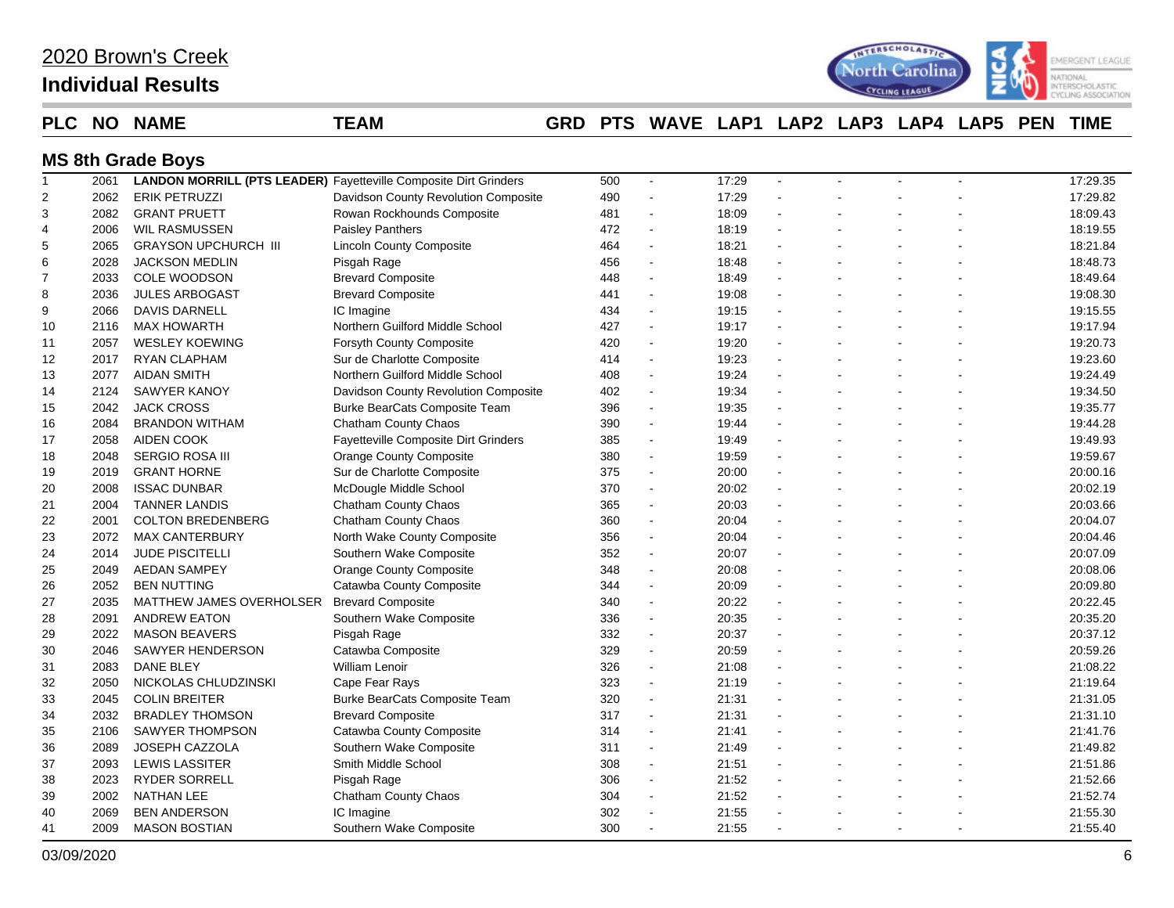| 2020 Brown's Creek |
|--------------------|
|--------------------|

## **Individual Results**



### **PLC NO NAME TEAM GRD PTS WAVE LAP1 LAP2 LAP3 LAP4 LAP5 PEN TIME**

### **MS 8th Grade Boys**

| $\mathbf{1}$   | 2061 |                             | <b>LANDON MORRILL (PTS LEADER)</b> Fayetteville Composite Dirt Grinders | 500 | $\blacksquare$           | 17:29 | $\blacksquare$ |   | 17:29.35 |
|----------------|------|-----------------------------|-------------------------------------------------------------------------|-----|--------------------------|-------|----------------|---|----------|
| $\overline{2}$ | 2062 | <b>ERIK PETRUZZI</b>        | Davidson County Revolution Composite                                    | 490 | $\blacksquare$           | 17:29 |                |   | 17:29.82 |
| 3              | 2082 | <b>GRANT PRUETT</b>         | Rowan Rockhounds Composite                                              | 481 | $\blacksquare$           | 18:09 | L.             |   | 18:09.43 |
| 4              | 2006 | <b>WIL RASMUSSEN</b>        | <b>Paisley Panthers</b>                                                 | 472 | $\blacksquare$           | 18:19 |                |   | 18:19.55 |
| 5              | 2065 | <b>GRAYSON UPCHURCH III</b> | <b>Lincoln County Composite</b>                                         | 464 | $\sim$                   | 18:21 |                |   | 18:21.84 |
| 6              | 2028 | <b>JACKSON MEDLIN</b>       | Pisgah Rage                                                             | 456 | $\blacksquare$           | 18:48 |                |   | 18:48.73 |
| $\overline{7}$ | 2033 | COLE WOODSON                | <b>Brevard Composite</b>                                                | 448 | $\sim$                   | 18:49 |                |   | 18:49.64 |
| 8              | 2036 | <b>JULES ARBOGAST</b>       | <b>Brevard Composite</b>                                                | 441 | $\sim$                   | 19:08 |                |   | 19:08.30 |
| 9              | 2066 | <b>DAVIS DARNELL</b>        | IC Imagine                                                              | 434 | $\sim$                   | 19:15 |                |   | 19:15.55 |
| 10             | 2116 | <b>MAX HOWARTH</b>          | Northern Guilford Middle School                                         | 427 | $\sim$                   | 19:17 | L.             |   | 19:17.94 |
| 11             | 2057 | <b>WESLEY KOEWING</b>       | <b>Forsyth County Composite</b>                                         | 420 | $\overline{\phantom{a}}$ | 19:20 |                |   | 19:20.73 |
| 12             | 2017 | RYAN CLAPHAM                | Sur de Charlotte Composite                                              | 414 | $\blacksquare$           | 19:23 |                |   | 19:23.60 |
| 13             | 2077 | <b>AIDAN SMITH</b>          | Northern Guilford Middle School                                         | 408 | $\blacksquare$           | 19:24 |                |   | 19:24.49 |
| 14             | 2124 | <b>SAWYER KANOY</b>         | Davidson County Revolution Composite                                    | 402 | $\sim$                   | 19:34 | L.             |   | 19:34.50 |
| 15             | 2042 | <b>JACK CROSS</b>           | Burke BearCats Composite Team                                           | 396 | $\blacksquare$           | 19:35 |                |   | 19:35.77 |
| 16             | 2084 | <b>BRANDON WITHAM</b>       | Chatham County Chaos                                                    | 390 | $\sim$                   | 19:44 |                |   | 19:44.28 |
| 17             | 2058 | AIDEN COOK                  | Fayetteville Composite Dirt Grinders                                    | 385 | $\blacksquare$           | 19:49 |                |   | 19:49.93 |
| 18             | 2048 | <b>SERGIO ROSA III</b>      | <b>Orange County Composite</b>                                          | 380 | $\sim$                   | 19:59 |                |   | 19:59.67 |
| 19             | 2019 | <b>GRANT HORNE</b>          | Sur de Charlotte Composite                                              | 375 | $\sim$                   | 20:00 | $\overline{a}$ |   | 20:00.16 |
| 20             | 2008 | <b>ISSAC DUNBAR</b>         | McDougle Middle School                                                  | 370 | $\sim$                   | 20:02 |                |   | 20:02.19 |
| 21             | 2004 | <b>TANNER LANDIS</b>        | Chatham County Chaos                                                    | 365 | $\blacksquare$           | 20:03 |                |   | 20:03.66 |
| 22             | 2001 | <b>COLTON BREDENBERG</b>    | Chatham County Chaos                                                    | 360 | $\overline{\phantom{a}}$ | 20:04 |                |   | 20:04.07 |
| 23             | 2072 | <b>MAX CANTERBURY</b>       | North Wake County Composite                                             | 356 | $\blacksquare$           | 20:04 |                |   | 20:04.46 |
| 24             | 2014 | <b>JUDE PISCITELLI</b>      | Southern Wake Composite                                                 | 352 | $\sim$                   | 20:07 |                |   | 20:07.09 |
| 25             | 2049 | <b>AEDAN SAMPEY</b>         | <b>Orange County Composite</b>                                          | 348 | $\sim$                   | 20:08 |                |   | 20:08.06 |
| 26             | 2052 | <b>BEN NUTTING</b>          | Catawba County Composite                                                | 344 | $\blacksquare$           | 20:09 | L.             |   | 20:09.80 |
| 27             | 2035 | MATTHEW JAMES OVERHOLSER    | <b>Brevard Composite</b>                                                | 340 | $\blacksquare$           | 20:22 |                |   | 20:22.45 |
| 28             | 2091 | <b>ANDREW EATON</b>         | Southern Wake Composite                                                 | 336 | $\sim$                   | 20:35 |                |   | 20:35.20 |
| 29             | 2022 | <b>MASON BEAVERS</b>        | Pisgah Rage                                                             | 332 | $\blacksquare$           | 20:37 |                |   | 20:37.12 |
| 30             | 2046 | SAWYER HENDERSON            | Catawba Composite                                                       | 329 | $\sim$                   | 20:59 |                |   | 20:59.26 |
| 31             | 2083 | <b>DANE BLEY</b>            | <b>William Lenoir</b>                                                   | 326 | $\sim$                   | 21:08 |                |   | 21:08.22 |
| 32             | 2050 | NICKOLAS CHLUDZINSKI        | Cape Fear Rays                                                          | 323 | $\blacksquare$           | 21:19 |                |   | 21:19.64 |
| 33             | 2045 | <b>COLIN BREITER</b>        | <b>Burke BearCats Composite Team</b>                                    | 320 | $\blacksquare$           | 21:31 |                |   | 21:31.05 |
| 34             | 2032 | <b>BRADLEY THOMSON</b>      | <b>Brevard Composite</b>                                                | 317 | $\sim$                   | 21:31 |                |   | 21:31.10 |
| 35             | 2106 | <b>SAWYER THOMPSON</b>      | Catawba County Composite                                                | 314 | $\sim$                   | 21:41 |                |   | 21:41.76 |
| 36             | 2089 | JOSEPH CAZZOLA              | Southern Wake Composite                                                 | 311 | $\mathbf{r}$             | 21:49 |                |   | 21:49.82 |
| 37             | 2093 | <b>LEWIS LASSITER</b>       | Smith Middle School                                                     | 308 | $\blacksquare$           | 21:51 | L.             |   | 21:51.86 |
| 38             | 2023 | <b>RYDER SORRELL</b>        | Pisgah Rage                                                             | 306 | $\blacksquare$           | 21:52 |                |   | 21:52.66 |
| 39             | 2002 | <b>NATHAN LEE</b>           | Chatham County Chaos                                                    | 304 | L.                       | 21:52 |                |   | 21:52.74 |
| 40             | 2069 | <b>BEN ANDERSON</b>         | IC Imagine                                                              | 302 | $\overline{\phantom{a}}$ | 21:55 |                |   | 21:55.30 |
| 41             | 2009 | <b>MASON BOSTIAN</b>        | Southern Wake Composite                                                 | 300 | $\sim$                   | 21:55 | ÷.             | ÷ | 21:55.40 |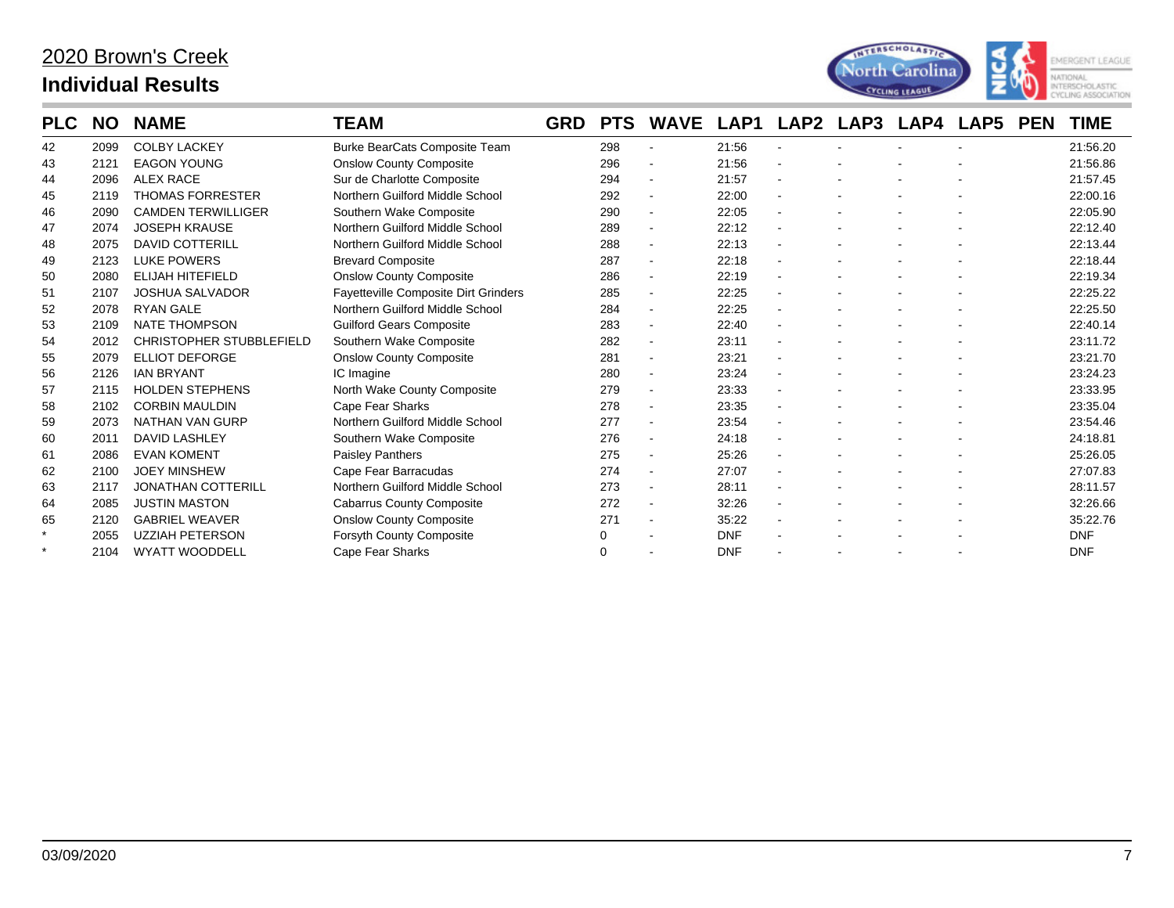

| <b>PLC</b> | <b>NO</b> | <b>NAME</b>                     | <b>TEAM</b>                                 | <b>GRD</b> | <b>PTS</b> | <b>WAVE</b>    | LAP1       | LAP2 LAP3 | LAP4 | LAP5 | <b>PEN</b> | <b>TIME</b> |
|------------|-----------|---------------------------------|---------------------------------------------|------------|------------|----------------|------------|-----------|------|------|------------|-------------|
| 42         | 2099      | <b>COLBY LACKEY</b>             | <b>Burke BearCats Composite Team</b>        |            | 298        |                | 21:56      |           |      |      |            | 21:56.20    |
| 43         | 2121      | <b>EAGON YOUNG</b>              | <b>Onslow County Composite</b>              |            | 296        | $\blacksquare$ | 21:56      |           |      |      |            | 21:56.86    |
| 44         | 2096      | <b>ALEX RACE</b>                | Sur de Charlotte Composite                  |            | 294        | $\blacksquare$ | 21:57      |           |      |      |            | 21:57.45    |
| 45         | 2119      | <b>THOMAS FORRESTER</b>         | Northern Guilford Middle School             |            | 292        | $\blacksquare$ | 22:00      |           |      |      |            | 22:00.16    |
| 46         | 2090      | <b>CAMDEN TERWILLIGER</b>       | Southern Wake Composite                     |            | 290        | $\blacksquare$ | 22:05      |           |      |      |            | 22:05.90    |
| 47         | 2074      | <b>JOSEPH KRAUSE</b>            | Northern Guilford Middle School             |            | 289        | $\blacksquare$ | 22:12      |           |      |      |            | 22:12.40    |
| 48         | 2075      | <b>DAVID COTTERILL</b>          | Northern Guilford Middle School             |            | 288        | $\blacksquare$ | 22:13      |           |      |      |            | 22:13.44    |
| 49         | 2123      | <b>LUKE POWERS</b>              | <b>Brevard Composite</b>                    |            | 287        | $\blacksquare$ | 22:18      |           |      |      |            | 22:18.44    |
| 50         | 2080      | <b>ELIJAH HITEFIELD</b>         | <b>Onslow County Composite</b>              |            | 286        | $\blacksquare$ | 22:19      |           |      |      |            | 22:19.34    |
| 51         | 2107      | <b>JOSHUA SALVADOR</b>          | <b>Fayetteville Composite Dirt Grinders</b> |            | 285        | $\blacksquare$ | 22:25      |           |      |      |            | 22:25.22    |
| 52         | 2078      | <b>RYAN GALE</b>                | Northern Guilford Middle School             |            | 284        | $\blacksquare$ | 22:25      |           |      |      |            | 22:25.50    |
| 53         | 2109      | <b>NATE THOMPSON</b>            | <b>Guilford Gears Composite</b>             |            | 283        | $\blacksquare$ | 22:40      |           |      |      |            | 22:40.14    |
| 54         | 2012      | <b>CHRISTOPHER STUBBLEFIELD</b> | Southern Wake Composite                     |            | 282        | $\blacksquare$ | 23:11      |           |      |      |            | 23:11.72    |
| 55         | 2079      | ELLIOT DEFORGE                  | <b>Onslow County Composite</b>              |            | 281        | $\blacksquare$ | 23:21      |           |      |      |            | 23:21.70    |
| 56         | 2126      | <b>IAN BRYANT</b>               | IC Imagine                                  |            | 280        | $\blacksquare$ | 23:24      |           |      |      |            | 23:24.23    |
| 57         | 2115      | <b>HOLDEN STEPHENS</b>          | North Wake County Composite                 |            | 279        | $\blacksquare$ | 23:33      |           |      |      |            | 23:33.95    |
| 58         | 2102      | <b>CORBIN MAULDIN</b>           | <b>Cape Fear Sharks</b>                     |            | 278        | $\blacksquare$ | 23:35      |           |      |      |            | 23:35.04    |
| 59         | 2073      | <b>NATHAN VAN GURP</b>          | Northern Guilford Middle School             |            | 277        | $\blacksquare$ | 23:54      |           |      |      |            | 23:54.46    |
| 60         | 2011      | <b>DAVID LASHLEY</b>            | Southern Wake Composite                     |            | 276        | $\blacksquare$ | 24:18      |           |      |      |            | 24:18.81    |
| 61         | 2086      | <b>EVAN KOMENT</b>              | <b>Paisley Panthers</b>                     |            | 275        | $\blacksquare$ | 25:26      |           |      |      |            | 25:26.05    |
| 62         | 2100      | <b>JOEY MINSHEW</b>             | Cape Fear Barracudas                        |            | 274        | $\blacksquare$ | 27:07      |           |      |      |            | 27:07.83    |
| 63         | 2117      | <b>JONATHAN COTTERILL</b>       | Northern Guilford Middle School             |            | 273        | $\blacksquare$ | 28:11      |           |      |      |            | 28:11.57    |
| 64         | 2085      | <b>JUSTIN MASTON</b>            | <b>Cabarrus County Composite</b>            |            | 272        | $\blacksquare$ | 32:26      |           |      |      |            | 32:26.66    |
| 65         | 2120      | <b>GABRIEL WEAVER</b>           | <b>Onslow County Composite</b>              |            | 271        | $\blacksquare$ | 35:22      |           |      |      |            | 35:22.76    |
| $\star$    | 2055      | <b>UZZIAH PETERSON</b>          | <b>Forsyth County Composite</b>             |            | 0          |                | <b>DNF</b> |           |      |      |            | <b>DNF</b>  |
| $\star$    | 2104      | <b>WYATT WOODDELL</b>           | Cape Fear Sharks                            |            | 0          |                | <b>DNF</b> |           |      |      |            | <b>DNF</b>  |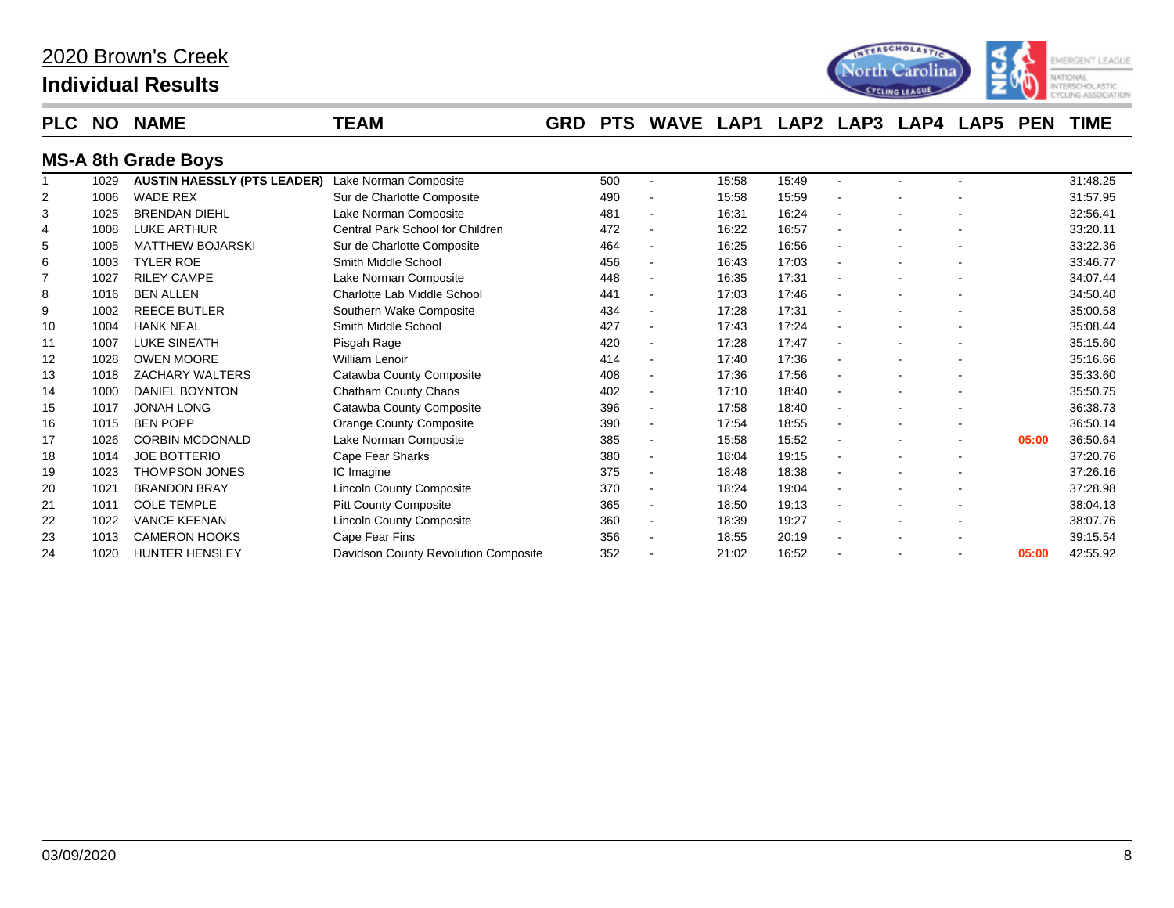| 2020 Brown's Creek |
|--------------------|
|--------------------|

## **Individual Results**



### **PLC NO NAME TEAM GRD PTS WAVE LAP1 LAP2 LAP3 LAP4 LAP5 PEN TIME**

### **MS-A 8th Grade Boys**

|    | 1029 | <b>AUSTIN HAESSLY (PTS LEADER)</b> | Lake Norman Composite                | 500 |                          | 15:58 | 15:49 |                          |                |       | 31:48.25 |
|----|------|------------------------------------|--------------------------------------|-----|--------------------------|-------|-------|--------------------------|----------------|-------|----------|
| 2  | 1006 | <b>WADE REX</b>                    | Sur de Charlotte Composite           | 490 | $\blacksquare$           | 15:58 | 15:59 | $\blacksquare$           |                |       | 31:57.95 |
| 3  | 1025 | <b>BRENDAN DIEHL</b>               | Lake Norman Composite                | 481 | $\blacksquare$           | 16:31 | 16:24 | $\blacksquare$           |                |       | 32:56.41 |
| 4  | 1008 | LUKE ARTHUR                        | Central Park School for Children     | 472 | $\blacksquare$           | 16:22 | 16:57 | $\blacksquare$           |                |       | 33:20.11 |
| 5  | 1005 | <b>MATTHEW BOJARSKI</b>            | Sur de Charlotte Composite           | 464 | $\blacksquare$           | 16:25 | 16:56 | $\blacksquare$           |                |       | 33:22.36 |
| 6  | 1003 | <b>TYLER ROE</b>                   | Smith Middle School                  | 456 | $\blacksquare$           | 16:43 | 17:03 | $\sim$                   |                |       | 33:46.77 |
| 7  | 1027 | <b>RILEY CAMPE</b>                 | Lake Norman Composite                | 448 | $\blacksquare$           | 16:35 | 17:31 |                          |                |       | 34:07.44 |
| 8  | 1016 | <b>BEN ALLEN</b>                   | Charlotte Lab Middle School          | 441 | $\blacksquare$           | 17:03 | 17:46 | $\blacksquare$           |                |       | 34:50.40 |
| 9  | 1002 | <b>REECE BUTLER</b>                | Southern Wake Composite              | 434 | $\blacksquare$           | 17:28 | 17:31 | $\overline{\phantom{a}}$ |                |       | 35:00.58 |
| 10 | 1004 | <b>HANK NEAL</b>                   | Smith Middle School                  | 427 | $\overline{\phantom{a}}$ | 17:43 | 17:24 |                          |                |       | 35:08.44 |
| 11 | 1007 | <b>LUKE SINEATH</b>                | Pisgah Rage                          | 420 | $\blacksquare$           | 17:28 | 17:47 | $\blacksquare$           |                |       | 35:15.60 |
| 12 | 1028 | <b>OWEN MOORE</b>                  | <b>William Lenoir</b>                | 414 | $\blacksquare$           | 17:40 | 17:36 |                          |                |       | 35:16.66 |
| 13 | 1018 | <b>ZACHARY WALTERS</b>             | Catawba County Composite             | 408 | $\blacksquare$           | 17:36 | 17:56 |                          |                |       | 35:33.60 |
| 14 | 1000 | <b>DANIEL BOYNTON</b>              | Chatham County Chaos                 | 402 | $\blacksquare$           | 17:10 | 18:40 | $\blacksquare$           |                |       | 35:50.75 |
| 15 | 1017 | <b>JONAH LONG</b>                  | Catawba County Composite             | 396 | $\blacksquare$           | 17:58 | 18:40 | $\blacksquare$           |                |       | 36:38.73 |
| 16 | 1015 | <b>BEN POPP</b>                    | <b>Orange County Composite</b>       | 390 | $\blacksquare$           | 17:54 | 18:55 | $\blacksquare$           |                |       | 36:50.14 |
| 17 | 1026 | <b>CORBIN MCDONALD</b>             | Lake Norman Composite                | 385 | $\blacksquare$           | 15:58 | 15:52 | $\blacksquare$           | ٠              | 05:00 | 36:50.64 |
| 18 | 1014 | <b>JOE BOTTERIO</b>                | Cape Fear Sharks                     | 380 | $\blacksquare$           | 18:04 | 19:15 | $\blacksquare$           | ٠              |       | 37:20.76 |
| 19 | 1023 | <b>THOMPSON JONES</b>              | IC Imagine                           | 375 | $\blacksquare$           | 18:48 | 18:38 | $\blacksquare$           |                |       | 37:26.16 |
| 20 | 1021 | <b>BRANDON BRAY</b>                | <b>Lincoln County Composite</b>      | 370 | $\blacksquare$           | 18:24 | 19:04 | $\blacksquare$           |                |       | 37:28.98 |
| 21 | 1011 | <b>COLE TEMPLE</b>                 | <b>Pitt County Composite</b>         | 365 | $\blacksquare$           | 18:50 | 19:13 |                          |                |       | 38:04.13 |
| 22 | 1022 | <b>VANCE KEENAN</b>                | <b>Lincoln County Composite</b>      | 360 | $\blacksquare$           | 18:39 | 19:27 |                          |                |       | 38:07.76 |
| 23 | 1013 | <b>CAMERON HOOKS</b>               | Cape Fear Fins                       | 356 | $\blacksquare$           | 18:55 | 20:19 |                          |                |       | 39:15.54 |
| 24 | 1020 | <b>HUNTER HENSLEY</b>              | Davidson County Revolution Composite | 352 |                          | 21:02 | 16:52 |                          | $\blacksquare$ | 05:00 | 42:55.92 |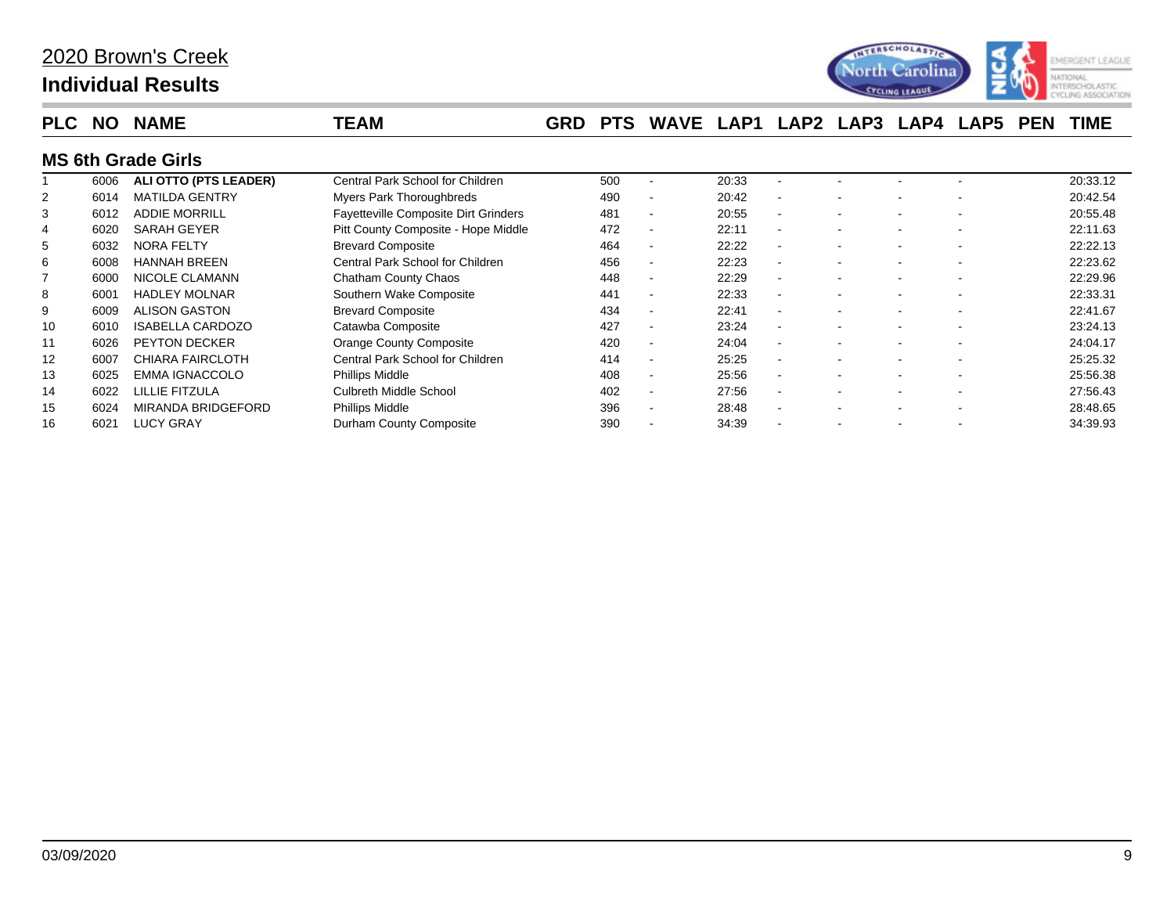

| <b>PLC</b> | <b>NO</b> | <b>NAME</b>               | TEAM                                        | <b>GRD</b> | <b>PTS</b> | <b>WAVE</b>              | LAP1  | LAP <sub>2</sub> | LAP3 | LAP4 | LAP5 | <b>PEN</b> | <b>TIME</b> |
|------------|-----------|---------------------------|---------------------------------------------|------------|------------|--------------------------|-------|------------------|------|------|------|------------|-------------|
|            |           | <b>MS 6th Grade Girls</b> |                                             |            |            |                          |       |                  |      |      |      |            |             |
|            | 6006      | ALI OTTO (PTS LEADER)     | Central Park School for Children            |            | 500        |                          | 20:33 |                  |      |      |      |            | 20:33.12    |
|            | 6014      | <b>MATILDA GENTRY</b>     | Myers Park Thoroughbreds                    |            | 490        |                          | 20:42 | $\sim$           |      |      |      |            | 20:42.54    |
| 3          | 6012      | <b>ADDIE MORRILL</b>      | <b>Fayetteville Composite Dirt Grinders</b> |            | 481        | $\,$ $\,$                | 20:55 |                  |      |      |      |            | 20:55.48    |
|            | 6020      | SARAH GEYER               | Pitt County Composite - Hope Middle         |            | 472        |                          | 22:11 |                  |      |      |      |            | 22:11.63    |
| 5          | 6032      | NORA FELTY                | <b>Brevard Composite</b>                    |            | 464        |                          | 22:22 |                  |      |      |      |            | 22:22.13    |
| 6          | 6008      | <b>HANNAH BREEN</b>       | Central Park School for Children            |            | 456        |                          | 22:23 |                  |      |      |      |            | 22:23.62    |
|            | 6000      | <b>NICOLE CLAMANN</b>     | Chatham County Chaos                        |            | 448        |                          | 22:29 |                  |      |      |      |            | 22:29.96    |
| 8          | 6001      | <b>HADLEY MOLNAR</b>      | Southern Wake Composite                     |            | 441        |                          | 22:33 |                  |      |      |      |            | 22:33.31    |
| 9          | 6009      | <b>ALISON GASTON</b>      | <b>Brevard Composite</b>                    |            | 434        | $\overline{\phantom{a}}$ | 22:41 |                  |      |      |      |            | 22:41.67    |
| 10         | 6010      | <b>ISABELLA CARDOZO</b>   | Catawba Composite                           |            | 427        |                          | 23:24 |                  |      |      |      |            | 23:24.13    |
| 11         | 6026      | <b>PEYTON DECKER</b>      | <b>Orange County Composite</b>              |            | 420        |                          | 24:04 |                  |      |      |      |            | 24:04.17    |
| 12         | 6007      | <b>CHIARA FAIRCLOTH</b>   | Central Park School for Children            |            | 414        |                          | 25:25 |                  |      |      |      |            | 25:25.32    |
| 13         | 6025      | <b>EMMA IGNACCOLO</b>     | Phillips Middle                             |            | 408        |                          | 25:56 |                  |      |      |      |            | 25:56.38    |
| 14         | 6022      | LILLIE FITZULA            | <b>Culbreth Middle School</b>               |            | 402        |                          | 27:56 |                  |      |      |      |            | 27:56.43    |
| 15         | 6024      | <b>MIRANDA BRIDGEFORD</b> | Phillips Middle                             |            | 396        | $\,$ $\,$                | 28:48 |                  |      |      |      |            | 28:48.65    |
| 16         | 6021      | <b>LUCY GRAY</b>          | Durham County Composite                     |            | 390        |                          | 34:39 |                  |      |      |      |            | 34:39.93    |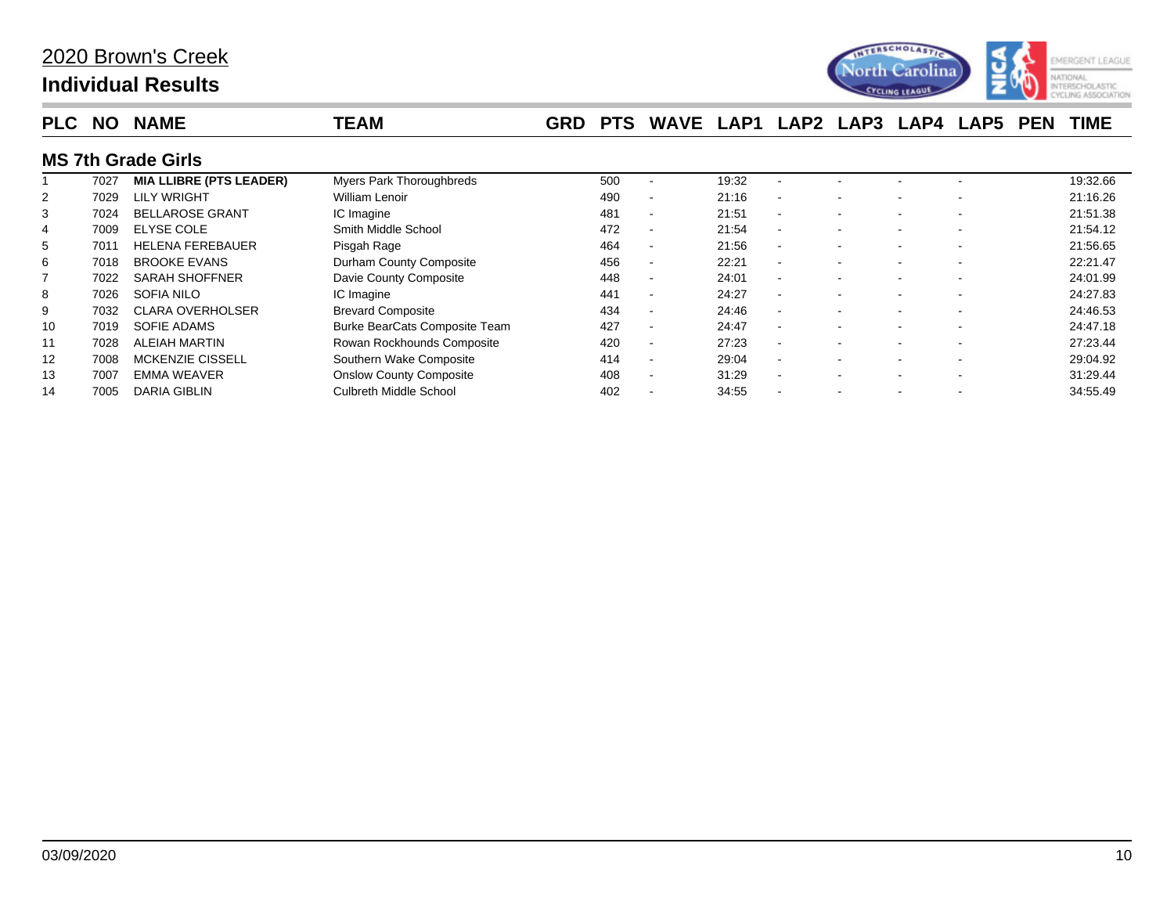

| <b>PLC</b> | <b>NO</b> | <b>NAME</b>                    | TEAM                            | <b>GRD</b> | <b>PTS</b> | WAVE                     | LAP1  | LAP <sub>2</sub>         | LAP3 | LAP4 | <b>LAP5</b> | <b>PEN</b> | <b>TIME</b> |
|------------|-----------|--------------------------------|---------------------------------|------------|------------|--------------------------|-------|--------------------------|------|------|-------------|------------|-------------|
|            |           | <b>MS 7th Grade Girls</b>      |                                 |            |            |                          |       |                          |      |      |             |            |             |
|            | 7027      | <b>MIA LLIBRE (PTS LEADER)</b> | <b>Myers Park Thoroughbreds</b> |            | 500        |                          | 19:32 |                          |      |      |             |            | 19:32.66    |
|            | 7029      | <b>LILY WRIGHT</b>             | William Lenoir                  |            | 490        | $\overline{\phantom{a}}$ | 21:16 | $\overline{\phantom{a}}$ |      |      |             |            | 21:16.26    |
| 3          | 7024      | <b>BELLAROSE GRANT</b>         | IC Imagine                      |            | 481        |                          | 21:51 |                          |      |      |             |            | 21:51.38    |
| 4          | 7009      | <b>ELYSE COLE</b>              | Smith Middle School             |            | 472        |                          | 21:54 | $\overline{\phantom{a}}$ |      |      |             |            | 21:54.12    |
| 5          | 7011      | <b>HELENA FEREBAUER</b>        | Pisgah Rage                     |            | 464        | $\overline{\phantom{a}}$ | 21:56 | $\overline{\phantom{a}}$ |      |      |             |            | 21:56.65    |
| 6          | 7018      | <b>BROOKE EVANS</b>            | Durham County Composite         |            | 456        | $\overline{\phantom{0}}$ | 22:21 |                          |      |      |             |            | 22:21.47    |
|            | 7022      | <b>SARAH SHOFFNER</b>          | Davie County Composite          |            | 448        |                          | 24:01 | $\overline{\phantom{a}}$ |      |      |             |            | 24:01.99    |
| 8          | 7026      | SOFIA NILO                     | IC Imagine                      |            | 441        | $\overline{\phantom{a}}$ | 24:27 | $\overline{\phantom{a}}$ |      |      |             |            | 24:27.83    |
| 9          | 7032      | <b>CLARA OVERHOLSER</b>        | <b>Brevard Composite</b>        |            | 434        |                          | 24:46 |                          |      |      |             |            | 24:46.53    |
| 10         | 7019      | SOFIE ADAMS                    | Burke BearCats Composite Team   |            | 427        | $\overline{\phantom{a}}$ | 24:47 |                          |      |      |             |            | 24:47.18    |
| 11         | 7028      | ALEIAH MARTIN                  | Rowan Rockhounds Composite      |            | 420        |                          | 27:23 | . .                      |      |      |             |            | 27:23.44    |
| 12         | 7008      | <b>MCKENZIE CISSELL</b>        | Southern Wake Composite         |            | 414        |                          | 29:04 | $\overline{\phantom{a}}$ |      |      |             |            | 29:04.92    |
| 13         | 7007      | <b>EMMA WEAVER</b>             | <b>Onslow County Composite</b>  |            | 408        | $\overline{\phantom{a}}$ | 31:29 |                          |      |      |             |            | 31:29.44    |
| 14         | 7005      | DARIA GIBLIN                   | Culbreth Middle School          |            | 402        |                          | 34:55 |                          |      |      |             |            | 34:55.49    |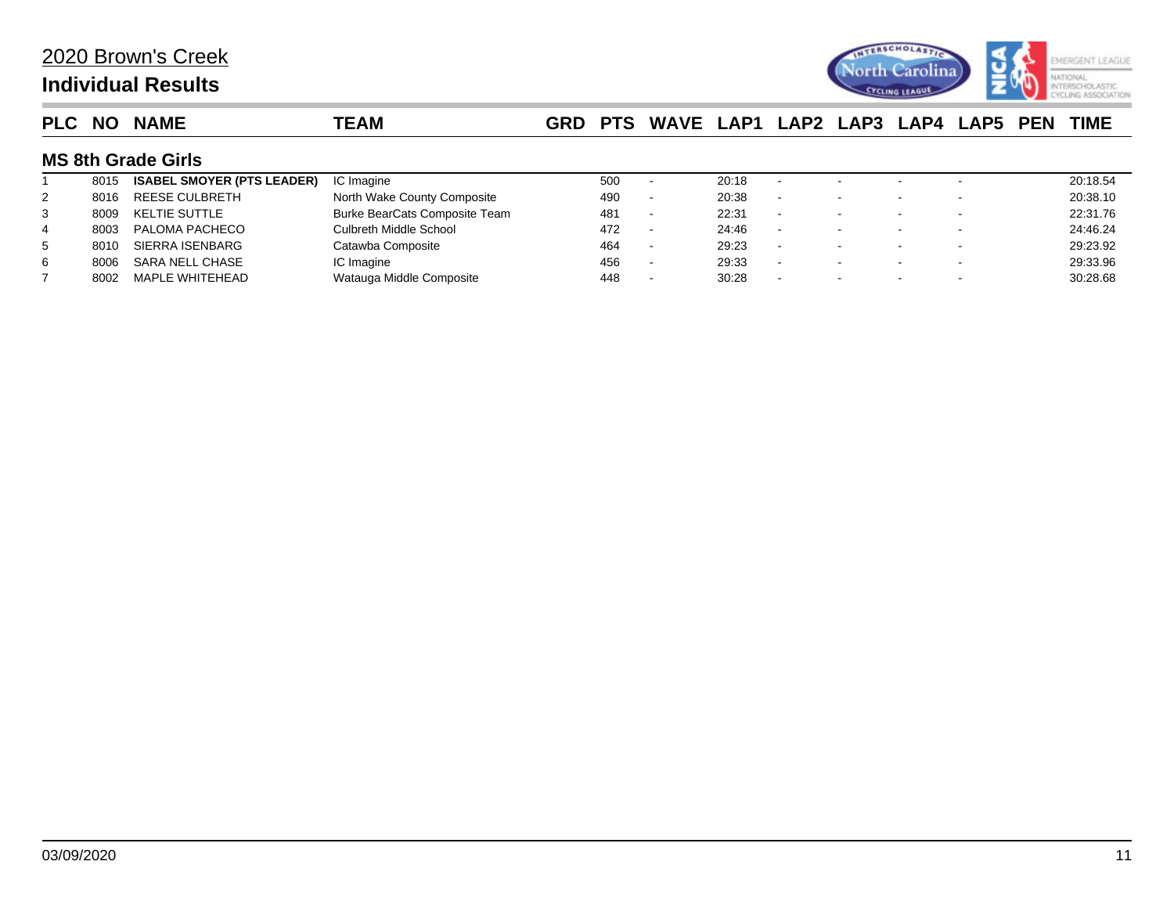

| <b>PLC</b> | <b>NO</b> | <b>NAME</b>                       | TEAM                                 | <b>GRD</b> | <b>PTS</b> | WAVE LAP1 LAP2 LAP3 LAP4 LAP5 PEN |       |        |  |  | <b>TIME</b> |
|------------|-----------|-----------------------------------|--------------------------------------|------------|------------|-----------------------------------|-------|--------|--|--|-------------|
|            |           | <b>MS 8th Grade Girls</b>         |                                      |            |            |                                   |       |        |  |  |             |
|            | 8015      | <b>ISABEL SMOYER (PTS LEADER)</b> | IC Imagine                           |            | 500        |                                   | 20:18 |        |  |  | 20:18.54    |
| 2          | 8016      | <b>REESE CULBRETH</b>             | North Wake County Composite          |            | 490        | $\overline{\phantom{a}}$          | 20:38 |        |  |  | 20:38.10    |
| 3          | 8009      | KELTIE SUTTLE                     | <b>Burke BearCats Composite Team</b> |            | 481        | $\overline{\phantom{a}}$          | 22:31 |        |  |  | 22:31.76    |
| 4          | 8003      | PALOMA PACHECO                    | Culbreth Middle School               |            | 472        | $\overline{\phantom{a}}$          | 24:46 |        |  |  | 24:46.24    |
| 5          | 8010      | SIERRA ISENBARG                   | Catawba Composite                    |            | 464        | $\,$                              | 29:23 |        |  |  | 29:23.92    |
| 6          | 8006      | SARA NELL CHASE                   | IC Imagine                           |            | 456        | $\sim$                            | 29:33 | $\sim$ |  |  | 29:33.96    |
|            | 8002      | MAPLE WHITEHEAD                   | Watauga Middle Composite             |            | 448        |                                   | 30:28 |        |  |  | 30:28.68    |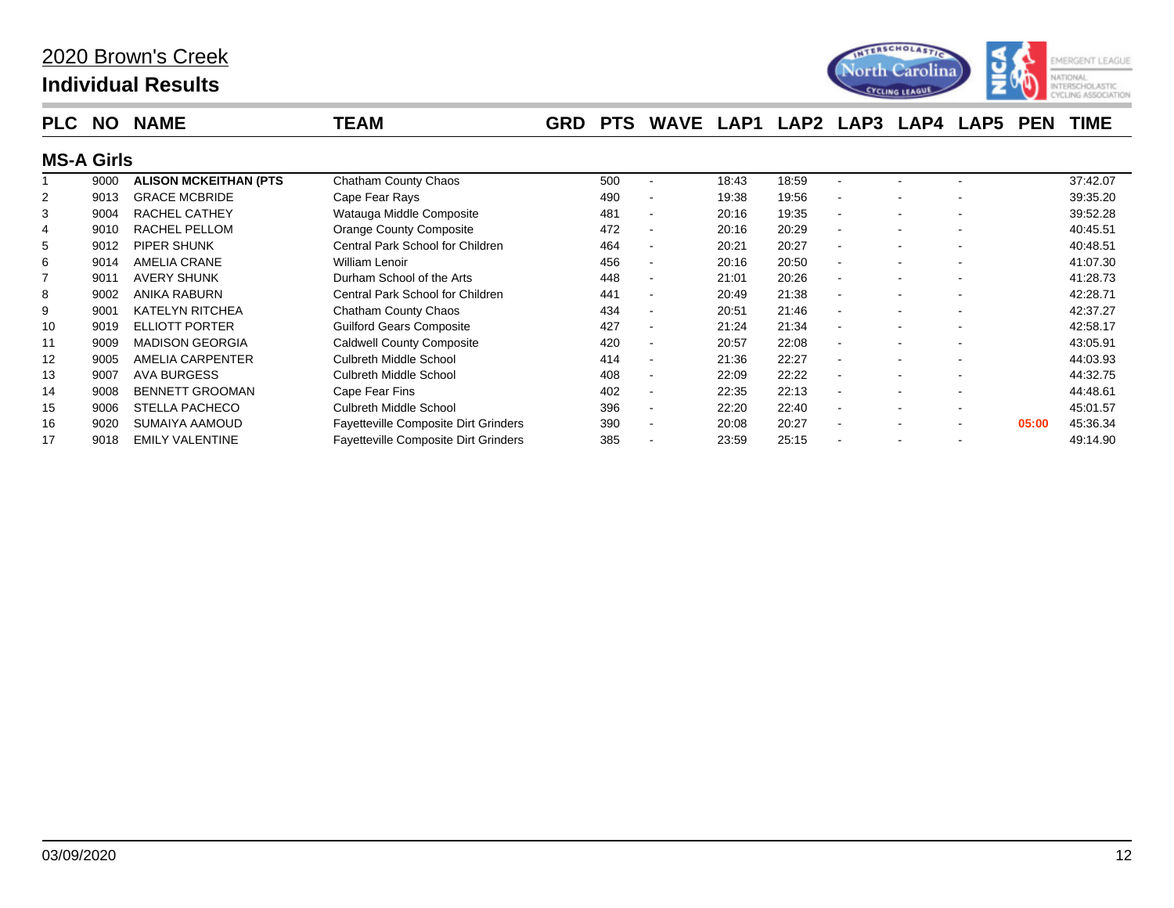## **Individual Results**



| <b>PLC</b>        | <b>NO</b> | <b>NAME</b>                   | <b>TEAM</b>                      | <b>GRD</b> | <b>PTS</b> | WAVE LAP1                |       |       | LAP2 LAP3                | LAP4 | <b>LAP5</b> | <b>PEN</b> | <b>TIME</b> |
|-------------------|-----------|-------------------------------|----------------------------------|------------|------------|--------------------------|-------|-------|--------------------------|------|-------------|------------|-------------|
| <b>MS-A Girls</b> |           |                               |                                  |            |            |                          |       |       |                          |      |             |            |             |
|                   | 9000      | <b>ALISON MCKEITHAN (PTS)</b> | <b>Chatham County Chaos</b>      |            | 500        |                          | 18:43 | 18:59 |                          |      |             |            | 37:42.07    |
| $\overline{2}$    | 9013      | <b>GRACE MCBRIDE</b>          | Cape Fear Rays                   |            | 490        | $\blacksquare$           | 19:38 | 19:56 | $\overline{\phantom{a}}$ |      |             |            | 39:35.20    |
| 3                 | 9004      | RACHEL CATHEY                 | Watauga Middle Composite         |            | 481        | $\overline{\phantom{a}}$ | 20:16 | 19:35 | $\overline{\phantom{a}}$ |      |             |            | 39:52.28    |
| 4                 | 9010      | RACHEL PELLOM                 | <b>Orange County Composite</b>   |            | 472        | $\blacksquare$           | 20:16 | 20:29 |                          |      |             |            | 40:45.51    |
| 5                 | 9012      | PIPER SHUNK                   | Central Park School for Children |            | 464        | $\overline{\phantom{a}}$ | 20:21 | 20:27 | $\overline{\phantom{a}}$ |      |             |            | 40:48.51    |
| 6                 | 9014      | AMELIA CRANE                  | William Lenoir                   |            | 456        | $\overline{\phantom{a}}$ | 20:16 | 20:50 | $\overline{a}$           |      |             |            | 41:07.30    |
|                   | 9011      | AVERY SHUNK                   | Durham School of the Arts        |            | 448        | $\overline{\phantom{a}}$ | 21:01 | 20:26 | $\overline{\phantom{a}}$ |      |             |            | 41:28.73    |
| 8                 | 9002      | ANIKA RABURN                  | Central Park School for Children |            | 441        | $\overline{\phantom{a}}$ | 20:49 | 21:38 |                          |      |             |            | 42:28.71    |
| 9                 | 9001      | <b>KATELYN RITCHEA</b>        | Chatham County Chaos             |            | 434        | $\blacksquare$           | 20:51 | 21:46 |                          |      |             |            | 42:37.27    |
| 10                | 9019      | <b>ELLIOTT PORTER</b>         | <b>Guilford Gears Composite</b>  |            | 427        | $\overline{\phantom{a}}$ | 21:24 | 21:34 | $\overline{\phantom{a}}$ |      |             |            | 42:58.17    |
| 11                | 9009      | <b>MADISON GEORGIA</b>        | <b>Caldwell County Composite</b> |            | 420        |                          | 20:57 | 22:08 |                          |      |             |            | 43:05.91    |

 9005 AMELIA CARPENTER Culbreth Middle School 414 - 21:36 22:27 - - - 44:03.93 9007 AVA BURGESS Culbreth Middle School 408 - 22:09 22:22 - - - 44:32.75 9008 BENNETT GROOMAN Cape Fear Fins 402 - 22:35 22:13 - - - 44:48.61 9006 STELLA PACHECO Culbreth Middle School 396 - 22:20 22:40 - - - 45:01.57 9020 SUMAIYA AAMOUD Fayetteville Composite Dirt Grinders 390 - 20:08 20:27 - - - **05:00** 45:36.34 17 9018 EMILY VALENTINE Fayetteville Composite Dirt Grinders 385 - 23:59 25:15 - - - - - - 49:14.90

### 03/09/2020 12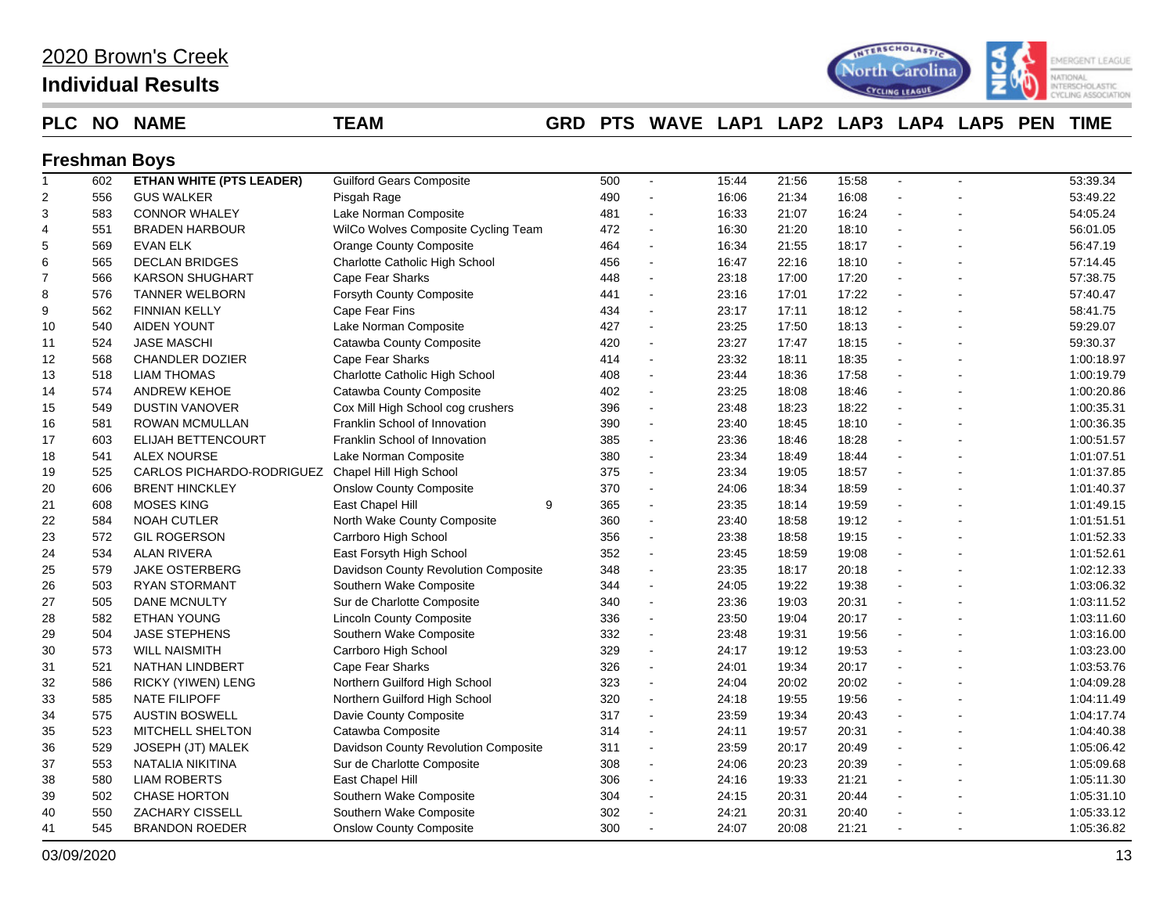## **Individual Results**



### **PLC NO NAME TEAM GRD PTS WAVE LAP1 LAP2 LAP3 LAP4 LAP5 PEN TIME**

### **Freshman Boys**

| $\mathbf{1}$   | 602 | <b>ETHAN WHITE (PTS LEADER)</b> | <b>Guilford Gears Composite</b>      | 500 | $\blacksquare$           | 15:44 | 21:56 | 15:58 |    | 53:39.34   |
|----------------|-----|---------------------------------|--------------------------------------|-----|--------------------------|-------|-------|-------|----|------------|
| $\overline{2}$ | 556 | <b>GUS WALKER</b>               | Pisgah Rage                          | 490 |                          | 16:06 | 21:34 | 16:08 |    | 53:49.22   |
| 3              | 583 | <b>CONNOR WHALEY</b>            | Lake Norman Composite                | 481 | $\blacksquare$           | 16:33 | 21:07 | 16:24 |    | 54:05.24   |
| 4              | 551 | <b>BRADEN HARBOUR</b>           | WilCo Wolves Composite Cycling Team  | 472 | $\blacksquare$           | 16:30 | 21:20 | 18:10 |    | 56:01.05   |
| 5              | 569 | <b>EVAN ELK</b>                 | <b>Orange County Composite</b>       | 464 | $\blacksquare$           | 16:34 | 21:55 | 18:17 |    | 56:47.19   |
| 6              | 565 | <b>DECLAN BRIDGES</b>           | Charlotte Catholic High School       | 456 | $\blacksquare$           | 16:47 | 22:16 | 18:10 |    | 57:14.45   |
| $\overline{7}$ | 566 | <b>KARSON SHUGHART</b>          | Cape Fear Sharks                     | 448 |                          | 23:18 | 17:00 | 17:20 |    | 57:38.75   |
| 8              | 576 | <b>TANNER WELBORN</b>           | Forsyth County Composite             | 441 | $\sim$                   | 23:16 | 17:01 | 17:22 |    | 57:40.47   |
| 9              | 562 | <b>FINNIAN KELLY</b>            | Cape Fear Fins                       | 434 | $\blacksquare$           | 23:17 | 17:11 | 18:12 |    | 58:41.75   |
| 10             | 540 | <b>AIDEN YOUNT</b>              | Lake Norman Composite                | 427 | $\overline{\phantom{a}}$ | 23:25 | 17:50 | 18:13 |    | 59:29.07   |
| 11             | 524 | JASE MASCHI                     | Catawba County Composite             | 420 | $\blacksquare$           | 23:27 | 17:47 | 18:15 |    | 59:30.37   |
| 12             | 568 | <b>CHANDLER DOZIER</b>          | Cape Fear Sharks                     | 414 | $\overline{\phantom{a}}$ | 23:32 | 18:11 | 18:35 |    | 1:00:18.97 |
| 13             | 518 | <b>LIAM THOMAS</b>              | Charlotte Catholic High School       | 408 | $\sim$                   | 23:44 | 18:36 | 17:58 |    | 1:00:19.79 |
| 14             | 574 | <b>ANDREW KEHOE</b>             | Catawba County Composite             | 402 | $\mathbf{r}$             | 23:25 | 18:08 | 18:46 |    | 1:00:20.86 |
| 15             | 549 | <b>DUSTIN VANOVER</b>           | Cox Mill High School cog crushers    | 396 | $\blacksquare$           | 23:48 | 18:23 | 18:22 |    | 1:00:35.31 |
| 16             | 581 | <b>ROWAN MCMULLAN</b>           | Franklin School of Innovation        | 390 | $\blacksquare$           | 23:40 | 18:45 | 18:10 |    | 1:00:36.35 |
| 17             | 603 | ELIJAH BETTENCOURT              | Franklin School of Innovation        | 385 | $\overline{\phantom{a}}$ | 23:36 | 18:46 | 18:28 |    | 1:00:51.57 |
| 18             | 541 | <b>ALEX NOURSE</b>              | Lake Norman Composite                | 380 | $\blacksquare$           | 23:34 | 18:49 | 18:44 |    | 1:01:07.51 |
| 19             | 525 | CARLOS PICHARDO-RODRIGUEZ       | Chapel Hill High School              | 375 | $\blacksquare$           | 23:34 | 19:05 | 18:57 |    | 1:01:37.85 |
| 20             | 606 | <b>BRENT HINCKLEY</b>           | <b>Onslow County Composite</b>       | 370 | $\blacksquare$           | 24:06 | 18:34 | 18:59 |    | 1:01:40.37 |
| 21             | 608 | <b>MOSES KING</b>               | East Chapel Hill<br>9                | 365 | $\blacksquare$           | 23:35 | 18:14 | 19:59 |    | 1:01:49.15 |
| 22             | 584 | <b>NOAH CUTLER</b>              | North Wake County Composite          | 360 | $\blacksquare$           | 23:40 | 18:58 | 19:12 |    | 1:01:51.51 |
| 23             | 572 | <b>GIL ROGERSON</b>             | Carrboro High School                 | 356 | $\blacksquare$           | 23:38 | 18:58 | 19:15 |    | 1:01:52.33 |
| 24             | 534 | <b>ALAN RIVERA</b>              | East Forsyth High School             | 352 | $\sim$                   | 23:45 | 18:59 | 19:08 |    | 1:01:52.61 |
| 25             | 579 | <b>JAKE OSTERBERG</b>           | Davidson County Revolution Composite | 348 | $\blacksquare$           | 23:35 | 18:17 | 20:18 |    | 1:02:12.33 |
| 26             | 503 | <b>RYAN STORMANT</b>            | Southern Wake Composite              | 344 | $\blacksquare$           | 24:05 | 19:22 | 19:38 |    | 1:03:06.32 |
| 27             | 505 | <b>DANE MCNULTY</b>             | Sur de Charlotte Composite           | 340 | $\overline{\phantom{a}}$ | 23:36 | 19:03 | 20:31 |    | 1:03:11.52 |
| 28             | 582 | <b>ETHAN YOUNG</b>              | <b>Lincoln County Composite</b>      | 336 |                          | 23:50 | 19:04 | 20:17 |    | 1:03:11.60 |
| 29             | 504 | <b>JASE STEPHENS</b>            | Southern Wake Composite              | 332 | $\blacksquare$           | 23:48 | 19:31 | 19:56 |    | 1:03:16.00 |
| 30             | 573 | <b>WILL NAISMITH</b>            | Carrboro High School                 | 329 | $\mathbf{r}$             | 24:17 | 19:12 | 19:53 |    | 1:03:23.00 |
| 31             | 521 | <b>NATHAN LINDBERT</b>          | Cape Fear Sharks                     | 326 | $\blacksquare$           | 24:01 | 19:34 | 20:17 |    | 1:03:53.76 |
| 32             | 586 | <b>RICKY (YIWEN) LENG</b>       | Northern Guilford High School        | 323 | $\blacksquare$           | 24:04 | 20:02 | 20:02 | ä, | 1:04:09.28 |
| 33             | 585 | <b>NATE FILIPOFF</b>            | Northern Guilford High School        | 320 | $\blacksquare$           | 24:18 | 19:55 | 19:56 |    | 1:04:11.49 |
| 34             | 575 | <b>AUSTIN BOSWELL</b>           | Davie County Composite               | 317 | $\sim$                   | 23:59 | 19:34 | 20:43 |    | 1:04:17.74 |
| 35             | 523 | MITCHELL SHELTON                | Catawba Composite                    | 314 | $\blacksquare$           | 24:11 | 19:57 | 20:31 |    | 1:04:40.38 |
| 36             | 529 | JOSEPH (JT) MALEK               | Davidson County Revolution Composite | 311 | $\blacksquare$           | 23:59 | 20:17 | 20:49 |    | 1:05:06.42 |
| 37             | 553 | NATALIA NIKITINA                | Sur de Charlotte Composite           | 308 | $\blacksquare$           | 24:06 | 20:23 | 20:39 |    | 1:05:09.68 |
| 38             | 580 | <b>LIAM ROBERTS</b>             | East Chapel Hill                     | 306 | $\blacksquare$           | 24:16 | 19:33 | 21:21 |    | 1:05:11.30 |
| 39             | 502 | <b>CHASE HORTON</b>             | Southern Wake Composite              | 304 | $\sim$                   | 24:15 | 20:31 | 20:44 |    | 1:05:31.10 |
| 40             | 550 | ZACHARY CISSELL                 | Southern Wake Composite              | 302 |                          | 24:21 | 20:31 | 20:40 |    | 1:05:33.12 |
| 41             | 545 | <b>BRANDON ROEDER</b>           | <b>Onslow County Composite</b>       | 300 | $\blacksquare$           | 24:07 | 20:08 | 21:21 |    | 1:05:36.82 |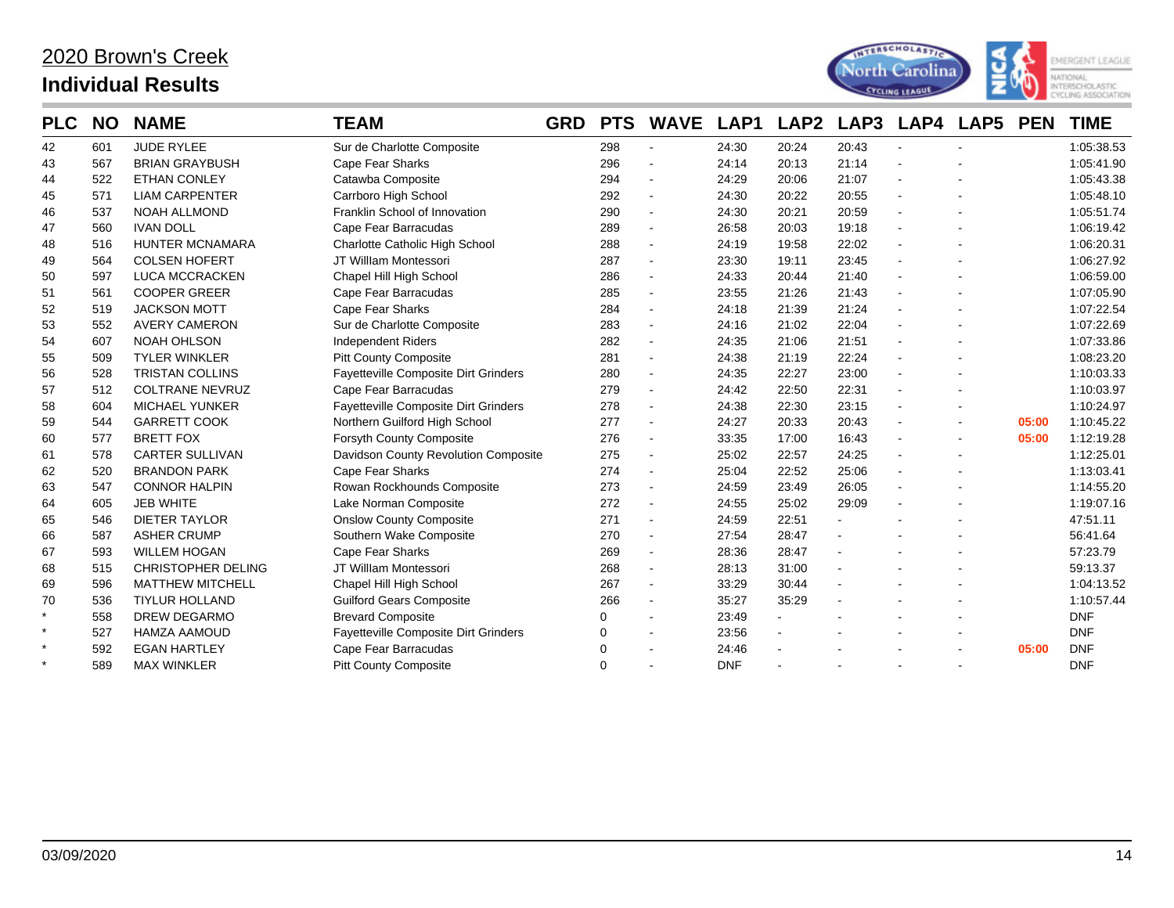

| <b>PLC</b> | <b>NO</b> | <b>NAME</b>               | TEAM                                 | <b>GRD</b> | <b>PTS</b> | <b>WAVE</b>              | LAP1       | LAP <sub>2</sub> | LAP3   | LAP4 | <b>LAP5</b>    | <b>PEN</b> | <b>TIME</b> |
|------------|-----------|---------------------------|--------------------------------------|------------|------------|--------------------------|------------|------------------|--------|------|----------------|------------|-------------|
| 42         | 601       | <b>JUDE RYLEE</b>         | Sur de Charlotte Composite           |            | 298        | $\blacksquare$           | 24:30      | 20:24            | 20:43  |      | $\blacksquare$ |            | 1:05:38.53  |
| 43         | 567       | <b>BRIAN GRAYBUSH</b>     | Cape Fear Sharks                     |            | 296        | $\overline{\phantom{a}}$ | 24:14      | 20:13            | 21:14  |      |                |            | 1:05:41.90  |
| 44         | 522       | ETHAN CONLEY              | Catawba Composite                    |            | 294        | $\blacksquare$           | 24:29      | 20:06            | 21:07  |      |                |            | 1:05:43.38  |
| 45         | 571       | <b>LIAM CARPENTER</b>     | Carrboro High School                 |            | 292        | $\ddot{\phantom{a}}$     | 24:30      | 20:22            | 20:55  |      |                |            | 1:05:48.10  |
| 46         | 537       | <b>NOAH ALLMOND</b>       | Franklin School of Innovation        |            | 290        | $\blacksquare$           | 24:30      | 20:21            | 20:59  |      |                |            | 1:05:51.74  |
| 47         | 560       | <b>IVAN DOLL</b>          | Cape Fear Barracudas                 |            | 289        | $\blacksquare$           | 26:58      | 20:03            | 19:18  |      |                |            | 1:06:19.42  |
| 48         | 516       | <b>HUNTER MCNAMARA</b>    | Charlotte Catholic High School       |            | 288        | $\blacksquare$           | 24:19      | 19:58            | 22:02  |      |                |            | 1:06:20.31  |
| 49         | 564       | <b>COLSEN HOFERT</b>      | JT Willlam Montessori                |            | 287        | $\blacksquare$           | 23:30      | 19:11            | 23:45  |      |                |            | 1:06:27.92  |
| 50         | 597       | <b>LUCA MCCRACKEN</b>     | Chapel Hill High School              |            | 286        | $\ddot{\phantom{a}}$     | 24:33      | 20:44            | 21:40  |      |                |            | 1:06:59.00  |
| 51         | 561       | <b>COOPER GREER</b>       | Cape Fear Barracudas                 |            | 285        | $\ddot{\phantom{a}}$     | 23:55      | 21:26            | 21:43  |      |                |            | 1:07:05.90  |
| 52         | 519       | <b>JACKSON MOTT</b>       | <b>Cape Fear Sharks</b>              |            | 284        | $\blacksquare$           | 24:18      | 21:39            | 21:24  |      |                |            | 1:07:22.54  |
| 53         | 552       | <b>AVERY CAMERON</b>      | Sur de Charlotte Composite           |            | 283        | $\blacksquare$           | 24:16      | 21:02            | 22:04  |      |                |            | 1:07:22.69  |
| 54         | 607       | <b>NOAH OHLSON</b>        | <b>Independent Riders</b>            |            | 282        | $\blacksquare$           | 24:35      | 21:06            | 21:51  |      |                |            | 1:07:33.86  |
| 55         | 509       | <b>TYLER WINKLER</b>      | <b>Pitt County Composite</b>         |            | 281        | $\blacksquare$           | 24:38      | 21:19            | 22:24  |      |                |            | 1:08:23.20  |
| 56         | 528       | <b>TRISTAN COLLINS</b>    | Fayetteville Composite Dirt Grinders |            | 280        | $\blacksquare$           | 24:35      | 22:27            | 23:00  |      |                |            | 1:10:03.33  |
| 57         | 512       | <b>COLTRANE NEVRUZ</b>    | Cape Fear Barracudas                 |            | 279        | $\blacksquare$           | 24:42      | 22:50            | 22:31  |      |                |            | 1:10:03.97  |
| 58         | 604       | <b>MICHAEL YUNKER</b>     | Fayetteville Composite Dirt Grinders |            | 278        | $\ddot{\phantom{a}}$     | 24:38      | 22:30            | 23:15  |      |                |            | 1:10:24.97  |
| 59         | 544       | <b>GARRETT COOK</b>       | Northern Guilford High School        |            | 277        | $\blacksquare$           | 24:27      | 20:33            | 20:43  |      |                | 05:00      | 1:10:45.22  |
| 60         | 577       | <b>BRETT FOX</b>          | Forsyth County Composite             |            | 276        | $\blacksquare$           | 33:35      | 17:00            | 16:43  |      | $\blacksquare$ | 05:00      | 1:12:19.28  |
| 61         | 578       | <b>CARTER SULLIVAN</b>    | Davidson County Revolution Composite |            | 275        | $\blacksquare$           | 25:02      | 22:57            | 24:25  |      | $\blacksquare$ |            | 1:12:25.01  |
| 62         | 520       | <b>BRANDON PARK</b>       | Cape Fear Sharks                     |            | 274        | $\ddot{\phantom{a}}$     | 25:04      | 22:52            | 25:06  |      |                |            | 1:13:03.41  |
| 63         | 547       | <b>CONNOR HALPIN</b>      | Rowan Rockhounds Composite           |            | 273        | $\overline{\phantom{a}}$ | 24:59      | 23:49            | 26:05  |      |                |            | 1:14:55.20  |
| 64         | 605       | <b>JEB WHITE</b>          | Lake Norman Composite                |            | 272        | $\blacksquare$           | 24:55      | 25:02            | 29:09  |      |                |            | 1:19:07.16  |
| 65         | 546       | <b>DIETER TAYLOR</b>      | <b>Onslow County Composite</b>       |            | 271        | $\blacksquare$           | 24:59      | 22:51            |        |      |                |            | 47:51.11    |
| 66         | 587       | <b>ASHER CRUMP</b>        | Southern Wake Composite              |            | 270        | $\blacksquare$           | 27:54      | 28:47            |        |      |                |            | 56:41.64    |
| 67         | 593       | <b>WILLEM HOGAN</b>       | <b>Cape Fear Sharks</b>              |            | 269        | $\blacksquare$           | 28:36      | 28:47            |        |      |                |            | 57:23.79    |
| 68         | 515       | <b>CHRISTOPHER DELING</b> | JT Willlam Montessori                |            | 268        | $\blacksquare$           | 28:13      | 31:00            | $\sim$ |      |                |            | 59:13.37    |
| 69         | 596       | <b>MATTHEW MITCHELL</b>   | Chapel Hill High School              |            | 267        | $\blacksquare$           | 33:29      | 30:44            |        |      |                |            | 1:04:13.52  |
| 70         | 536       | <b>TIYLUR HOLLAND</b>     | <b>Guilford Gears Composite</b>      |            | 266        | $\ddot{\phantom{a}}$     | 35:27      | 35:29            |        |      |                |            | 1:10:57.44  |
| $\star$    | 558       | DREW DEGARMO              | <b>Brevard Composite</b>             |            | 0          | $\blacksquare$           | 23:49      |                  |        |      |                |            | <b>DNF</b>  |
| $\star$    | 527       | <b>HAMZA AAMOUD</b>       | Fayetteville Composite Dirt Grinders |            |            | $\blacksquare$           | 23:56      |                  |        |      |                |            | <b>DNF</b>  |
| $\star$    | 592       | <b>EGAN HARTLEY</b>       | Cape Fear Barracudas                 |            |            | $\overline{a}$           | 24:46      |                  |        |      |                | 05:00      | <b>DNF</b>  |
| $\star$    | 589       | <b>MAX WINKLER</b>        | <b>Pitt County Composite</b>         |            | ∩          |                          | <b>DNF</b> |                  |        |      |                |            | <b>DNF</b>  |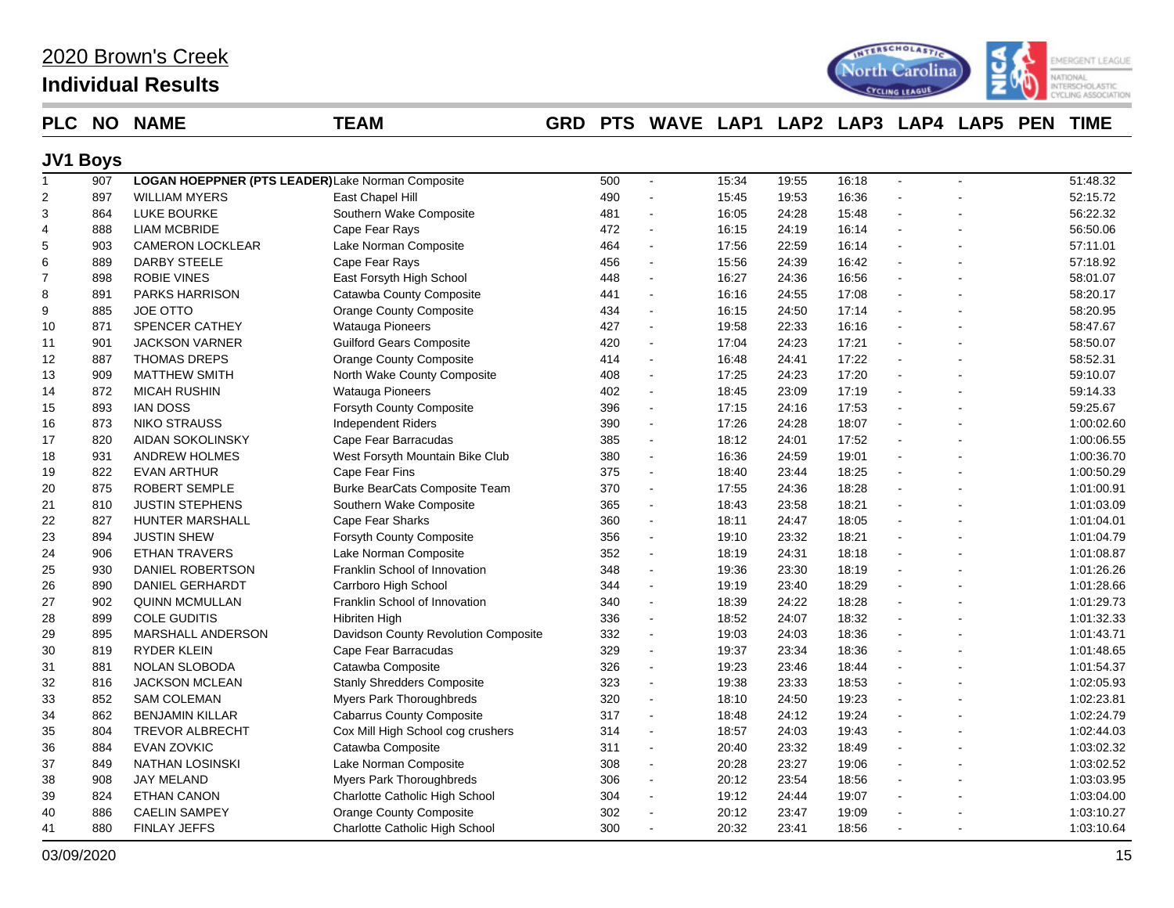| 2020 Brown's Creek |
|--------------------|
|--------------------|

## **Individual Results**



### **PLC NO NAME TEAM GRD PTS WAVE LAP1 LAP2 LAP3 LAP4 LAP5 PEN TIME**

### **JV1 Boys**

| $\mathbf{1}$   | 907 | LOGAN HOEPPNER (PTS LEADER) Lake Norman Composite |                                      | 500 | $\blacksquare$           | 15:34 | 19:55 | 16:18 | $\blacksquare$       |   | 51:48.32   |
|----------------|-----|---------------------------------------------------|--------------------------------------|-----|--------------------------|-------|-------|-------|----------------------|---|------------|
| $\overline{2}$ | 897 | <b>WILLIAM MYERS</b>                              | East Chapel Hill                     | 490 |                          | 15:45 | 19:53 | 16:36 |                      |   | 52:15.72   |
| 3              | 864 | LUKE BOURKE                                       | Southern Wake Composite              | 481 |                          | 16:05 | 24:28 | 15:48 | $\overline{a}$       |   | 56:22.32   |
| 4              | 888 | <b>LIAM MCBRIDE</b>                               | Cape Fear Rays                       | 472 | $\sim$                   | 16:15 | 24:19 | 16:14 | $\sim$               |   | 56:50.06   |
| 5              | 903 | CAMERON LOCKLEAR                                  | Lake Norman Composite                | 464 | $\sim$                   | 17:56 | 22:59 | 16:14 |                      |   | 57:11.01   |
| 6              | 889 | <b>DARBY STEELE</b>                               | Cape Fear Rays                       | 456 | $\sim$                   | 15:56 | 24:39 | 16:42 | $\sim$               |   | 57:18.92   |
| $\overline{7}$ | 898 | <b>ROBIE VINES</b>                                | East Forsyth High School             | 448 |                          | 16:27 | 24:36 | 16:56 |                      |   | 58:01.07   |
| 8              | 891 | <b>PARKS HARRISON</b>                             | Catawba County Composite             | 441 |                          | 16:16 | 24:55 | 17:08 | $\sim$               |   | 58:20.17   |
| 9              | 885 | <b>JOE OTTO</b>                                   | <b>Orange County Composite</b>       | 434 | $\sim$                   | 16:15 | 24:50 | 17:14 | $\sim$               |   | 58:20.95   |
| 10             | 871 | SPENCER CATHEY                                    | <b>Watauga Pioneers</b>              | 427 | $\sim$                   | 19:58 | 22:33 | 16:16 | $\mathbf{r}$         |   | 58:47.67   |
| 11             | 901 | <b>JACKSON VARNER</b>                             | <b>Guilford Gears Composite</b>      | 420 | $\sim$                   | 17:04 | 24:23 | 17:21 | $\blacksquare$       |   | 58:50.07   |
| 12             | 887 | <b>THOMAS DREPS</b>                               | <b>Orange County Composite</b>       | 414 | $\sim$                   | 16:48 | 24:41 | 17:22 |                      |   | 58:52.31   |
| 13             | 909 | <b>MATTHEW SMITH</b>                              | North Wake County Composite          | 408 |                          | 17:25 | 24:23 | 17:20 |                      |   | 59:10.07   |
| 14             | 872 | <b>MICAH RUSHIN</b>                               | Watauga Pioneers                     | 402 | $\sim$                   | 18:45 | 23:09 | 17:19 | $\mathbf{r}$         |   | 59:14.33   |
| 15             | 893 | <b>IAN DOSS</b>                                   | Forsyth County Composite             | 396 | $\sim$                   | 17:15 | 24:16 | 17:53 | $\blacksquare$       |   | 59:25.67   |
| 16             | 873 | <b>NIKO STRAUSS</b>                               | <b>Independent Riders</b>            | 390 | $\blacksquare$           | 17:26 | 24:28 | 18:07 | $\ddot{\phantom{a}}$ |   | 1:00:02.60 |
| 17             | 820 | AIDAN SOKOLINSKY                                  | Cape Fear Barracudas                 | 385 | $\sim$                   | 18:12 | 24:01 | 17:52 | $\ddot{\phantom{a}}$ |   | 1:00:06.55 |
| 18             | 931 | <b>ANDREW HOLMES</b>                              | West Forsyth Mountain Bike Club      | 380 | $\sim$                   | 16:36 | 24:59 | 19:01 |                      |   | 1:00:36.70 |
| 19             | 822 | <b>EVAN ARTHUR</b>                                | Cape Fear Fins                       | 375 |                          | 18:40 | 23:44 | 18:25 | $\sim$               |   | 1:00:50.29 |
| 20             | 875 | <b>ROBERT SEMPLE</b>                              | Burke BearCats Composite Team        | 370 | $\sim$                   | 17:55 | 24:36 | 18:28 | $\sim$               |   | 1:01:00.91 |
| 21             | 810 | <b>JUSTIN STEPHENS</b>                            | Southern Wake Composite              | 365 | $\sim$                   | 18:43 | 23:58 | 18:21 |                      |   | 1:01:03.09 |
| 22             | 827 | <b>HUNTER MARSHALL</b>                            | <b>Cape Fear Sharks</b>              | 360 | $\blacksquare$           | 18:11 | 24:47 | 18:05 | $\overline{a}$       |   | 1:01:04.01 |
| 23             | 894 | <b>JUSTIN SHEW</b>                                | Forsyth County Composite             | 356 | $\sim$                   | 19:10 | 23:32 | 18:21 | $\overline{a}$       |   | 1:01:04.79 |
| 24             | 906 | <b>ETHAN TRAVERS</b>                              | Lake Norman Composite                | 352 | $\sim$                   | 18:19 | 24:31 | 18:18 | $\overline{a}$       |   | 1:01:08.87 |
| 25             | 930 | DANIEL ROBERTSON                                  | Franklin School of Innovation        | 348 | $\sim$                   | 19:36 | 23:30 | 18:19 | $\mathbf{r}$         |   | 1:01:26.26 |
| 26             | 890 | <b>DANIEL GERHARDT</b>                            | Carrboro High School                 | 344 | $\sim$                   | 19:19 | 23:40 | 18:29 | $\mathbf{r}$         |   | 1:01:28.66 |
| 27             | 902 | <b>QUINN MCMULLAN</b>                             | Franklin School of Innovation        | 340 | $\sim$                   | 18:39 | 24:22 | 18:28 | $\sim$               |   | 1:01:29.73 |
| 28             | 899 | <b>COLE GUDITIS</b>                               | Hibriten High                        | 336 | $\blacksquare$           | 18:52 | 24:07 | 18:32 |                      |   | 1:01:32.33 |
| 29             | 895 | <b>MARSHALL ANDERSON</b>                          | Davidson County Revolution Composite | 332 | $\overline{\phantom{a}}$ | 19:03 | 24:03 | 18:36 |                      |   | 1:01:43.71 |
| 30             | 819 | RYDER KLEIN                                       | Cape Fear Barracudas                 | 329 |                          | 19:37 | 23:34 | 18:36 | $\blacksquare$       |   | 1:01:48.65 |
| 31             | 881 | <b>NOLAN SLOBODA</b>                              | Catawba Composite                    | 326 | $\sim$                   | 19:23 | 23:46 | 18:44 | $\sim$               |   | 1:01:54.37 |
| 32             | 816 | <b>JACKSON MCLEAN</b>                             | <b>Stanly Shredders Composite</b>    | 323 | $\sim$                   | 19:38 | 23:33 | 18:53 | $\overline{a}$       |   | 1:02:05.93 |
| 33             | 852 | <b>SAM COLEMAN</b>                                | Myers Park Thoroughbreds             | 320 | $\sim$                   | 18:10 | 24:50 | 19:23 | $\blacksquare$       |   | 1:02:23.81 |
| 34             | 862 | <b>BENJAMIN KILLAR</b>                            | <b>Cabarrus County Composite</b>     | 317 | $\blacksquare$           | 18:48 | 24:12 | 19:24 | $\overline{a}$       |   | 1:02:24.79 |
| 35             | 804 | <b>TREVOR ALBRECHT</b>                            | Cox Mill High School cog crushers    | 314 | $\sim$                   | 18:57 | 24:03 | 19:43 | $\sim$               |   | 1:02:44.03 |
| 36             | 884 | EVAN ZOVKIC                                       | Catawba Composite                    | 311 | $\sim$                   | 20:40 | 23:32 | 18:49 | $\mathbf{r}$         |   | 1:03:02.32 |
| 37             | 849 | <b>NATHAN LOSINSKI</b>                            | Lake Norman Composite                | 308 | $\sim$                   | 20:28 | 23:27 | 19:06 | $\sim$               |   | 1:03:02.52 |
| 38             | 908 | <b>JAY MELAND</b>                                 | Myers Park Thoroughbreds             | 306 | $\sim$                   | 20:12 | 23:54 | 18:56 | $\overline{a}$       |   | 1:03:03.95 |
| 39             | 824 | <b>ETHAN CANON</b>                                | Charlotte Catholic High School       | 304 | $\sim$                   | 19:12 | 24:44 | 19:07 |                      |   | 1:03:04.00 |
| 40             | 886 | <b>CAELIN SAMPEY</b>                              | <b>Orange County Composite</b>       | 302 |                          | 20:12 | 23:47 | 19:09 |                      |   | 1:03:10.27 |
| 41             | 880 | <b>FINLAY JEFFS</b>                               | Charlotte Catholic High School       | 300 |                          | 20:32 | 23:41 | 18:56 |                      | ÷ | 1:03:10.64 |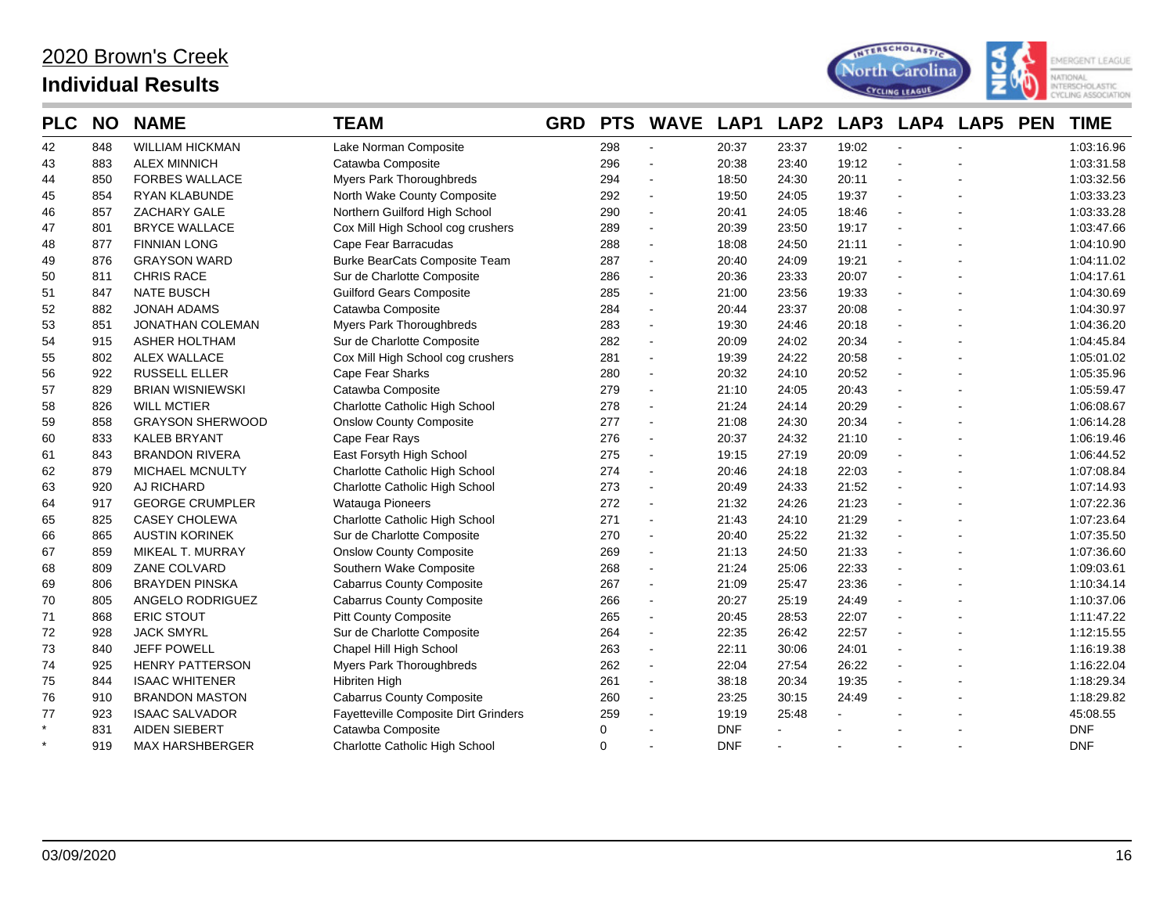

| <b>PLC</b> | <b>NO</b> | <b>NAME</b>             | <b>TEAM</b>                          | <b>GRD</b> | <b>PTS</b> | <b>WAVE</b>              | LAP1       | LAP <sub>2</sub> | LAP3  | LAP4   | <b>LAP5</b> | <b>PEN</b> | <b>TIME</b> |
|------------|-----------|-------------------------|--------------------------------------|------------|------------|--------------------------|------------|------------------|-------|--------|-------------|------------|-------------|
| 42         | 848       | <b>WILLIAM HICKMAN</b>  | Lake Norman Composite                |            | 298        |                          | 20:37      | 23:37            | 19:02 |        |             |            | 1:03:16.96  |
| 43         | 883       | <b>ALEX MINNICH</b>     | Catawba Composite                    |            | 296        | $\sim$                   | 20:38      | 23:40            | 19:12 | $\sim$ |             |            | 1:03:31.58  |
| 44         | 850       | <b>FORBES WALLACE</b>   | Myers Park Thoroughbreds             |            | 294        | $\overline{\phantom{a}}$ | 18:50      | 24:30            | 20:11 |        |             |            | 1:03:32.56  |
| 45         | 854       | <b>RYAN KLABUNDE</b>    | North Wake County Composite          |            | 292        | $\blacksquare$           | 19:50      | 24:05            | 19:37 |        |             |            | 1:03:33.23  |
| 46         | 857       | ZACHARY GALE            | Northern Guilford High School        |            | 290        | $\overline{\phantom{a}}$ | 20:41      | 24:05            | 18:46 |        |             |            | 1:03:33.28  |
| 47         | 801       | <b>BRYCE WALLACE</b>    | Cox Mill High School cog crushers    |            | 289        | $\blacksquare$           | 20:39      | 23:50            | 19:17 |        |             |            | 1:03:47.66  |
| 48         | 877       | <b>FINNIAN LONG</b>     | Cape Fear Barracudas                 |            | 288        | $\sim$                   | 18:08      | 24:50            | 21:11 |        |             |            | 1:04:10.90  |
| 49         | 876       | <b>GRAYSON WARD</b>     | Burke BearCats Composite Team        |            | 287        | $\blacksquare$           | 20:40      | 24:09            | 19:21 |        |             |            | 1:04:11.02  |
| 50         | 811       | <b>CHRIS RACE</b>       | Sur de Charlotte Composite           |            | 286        | $\sim$                   | 20:36      | 23:33            | 20:07 |        |             |            | 1:04:17.61  |
| 51         | 847       | <b>NATE BUSCH</b>       | <b>Guilford Gears Composite</b>      |            | 285        | $\sim$                   | 21:00      | 23:56            | 19:33 |        |             |            | 1:04:30.69  |
| 52         | 882       | <b>JONAH ADAMS</b>      | Catawba Composite                    |            | 284        | $\blacksquare$           | 20:44      | 23:37            | 20:08 |        |             |            | 1:04:30.97  |
| 53         | 851       | <b>JONATHAN COLEMAN</b> | Myers Park Thoroughbreds             |            | 283        | $\tilde{\phantom{a}}$    | 19:30      | 24:46            | 20:18 |        |             |            | 1:04:36.20  |
| 54         | 915       | <b>ASHER HOLTHAM</b>    | Sur de Charlotte Composite           |            | 282        | $\blacksquare$           | 20:09      | 24:02            | 20:34 |        |             |            | 1:04:45.84  |
| 55         | 802       | <b>ALEX WALLACE</b>     | Cox Mill High School cog crushers    |            | 281        | $\blacksquare$           | 19:39      | 24:22            | 20:58 |        |             |            | 1:05:01.02  |
| 56         | 922       | <b>RUSSELL ELLER</b>    | Cape Fear Sharks                     |            | 280        | $\blacksquare$           | 20:32      | 24:10            | 20:52 |        |             |            | 1:05:35.96  |
| 57         | 829       | <b>BRIAN WISNIEWSKI</b> | Catawba Composite                    |            | 279        | $\blacksquare$           | 21:10      | 24:05            | 20:43 |        |             |            | 1:05:59.47  |
| 58         | 826       | <b>WILL MCTIER</b>      | Charlotte Catholic High School       |            | 278        |                          | 21:24      | 24:14            | 20:29 |        |             |            | 1:06:08.67  |
| 59         | 858       | <b>GRAYSON SHERWOOD</b> | <b>Onslow County Composite</b>       |            | 277        | $\blacksquare$           | 21:08      | 24:30            | 20:34 |        |             |            | 1:06:14.28  |
| 60         | 833       | <b>KALEB BRYANT</b>     | Cape Fear Rays                       |            | 276        | $\overline{\phantom{a}}$ | 20:37      | 24:32            | 21:10 |        |             |            | 1:06:19.46  |
| 61         | 843       | <b>BRANDON RIVERA</b>   | East Forsyth High School             |            | 275        | $\sim$                   | 19:15      | 27:19            | 20:09 |        |             |            | 1:06:44.52  |
| 62         | 879       | MICHAEL MCNULTY         | Charlotte Catholic High School       |            | 274        | $\blacksquare$           | 20:46      | 24:18            | 22:03 |        |             |            | 1:07:08.84  |
| 63         | 920       | AJ RICHARD              | Charlotte Catholic High School       |            | 273        | $\blacksquare$           | 20:49      | 24:33            | 21:52 |        |             |            | 1:07:14.93  |
| 64         | 917       | <b>GEORGE CRUMPLER</b>  | Watauga Pioneers                     |            | 272        | $\sim$                   | 21:32      | 24:26            | 21:23 |        |             |            | 1:07:22.36  |
| 65         | 825       | <b>CASEY CHOLEWA</b>    | Charlotte Catholic High School       |            | 271        | $\blacksquare$           | 21:43      | 24:10            | 21:29 |        |             |            | 1:07:23.64  |
| 66         | 865       | <b>AUSTIN KORINEK</b>   | Sur de Charlotte Composite           |            | 270        | $\blacksquare$           | 20:40      | 25:22            | 21:32 |        |             |            | 1:07:35.50  |
| 67         | 859       | MIKEAL T. MURRAY        | <b>Onslow County Composite</b>       |            | 269        | $\sim$                   | 21:13      | 24:50            | 21:33 |        |             |            | 1:07:36.60  |
| 68         | 809       | ZANE COLVARD            | Southern Wake Composite              |            | 268        |                          | 21:24      | 25:06            | 22:33 |        |             |            | 1:09:03.61  |
| 69         | 806       | <b>BRAYDEN PINSKA</b>   | <b>Cabarrus County Composite</b>     |            | 267        | $\overline{\phantom{a}}$ | 21:09      | 25:47            | 23:36 |        |             |            | 1:10:34.14  |
| 70         | 805       | ANGELO RODRIGUEZ        | <b>Cabarrus County Composite</b>     |            | 266        | $\blacksquare$           | 20:27      | 25:19            | 24:49 |        |             |            | 1:10:37.06  |
| 71         | 868       | <b>ERIC STOUT</b>       | <b>Pitt County Composite</b>         |            | 265        | $\blacksquare$           | 20:45      | 28:53            | 22:07 |        |             |            | 1:11:47.22  |
| 72         | 928       | <b>JACK SMYRL</b>       | Sur de Charlotte Composite           |            | 264        | $\sim$                   | 22:35      | 26:42            | 22:57 |        |             |            | 1:12:15.55  |
| 73         | 840       | <b>JEFF POWELL</b>      | Chapel Hill High School              |            | 263        | $\blacksquare$           | 22:11      | 30:06            | 24:01 |        |             |            | 1:16:19.38  |
| 74         | 925       | <b>HENRY PATTERSON</b>  | Myers Park Thoroughbreds             |            | 262        | $\sim$                   | 22:04      | 27:54            | 26:22 |        |             |            | 1:16:22.04  |
| 75         | 844       | <b>ISAAC WHITENER</b>   | <b>Hibriten High</b>                 |            | 261        | $\sim$                   | 38:18      | 20:34            | 19:35 |        |             |            | 1:18:29.34  |
| 76         | 910       | <b>BRANDON MASTON</b>   | <b>Cabarrus County Composite</b>     |            | 260        |                          | 23:25      | 30:15            | 24:49 |        |             |            | 1:18:29.82  |
| 77         | 923       | <b>ISAAC SALVADOR</b>   | Fayetteville Composite Dirt Grinders |            | 259        | $\overline{a}$           | 19:19      | 25:48            |       |        |             |            | 45:08.55    |
| $\star$    | 831       | <b>AIDEN SIEBERT</b>    | Catawba Composite                    |            | 0          |                          | <b>DNF</b> |                  |       |        |             |            | <b>DNF</b>  |
| $\star$    | 919       | <b>MAX HARSHBERGER</b>  | Charlotte Catholic High School       |            | 0          |                          | <b>DNF</b> |                  |       |        |             |            | <b>DNF</b>  |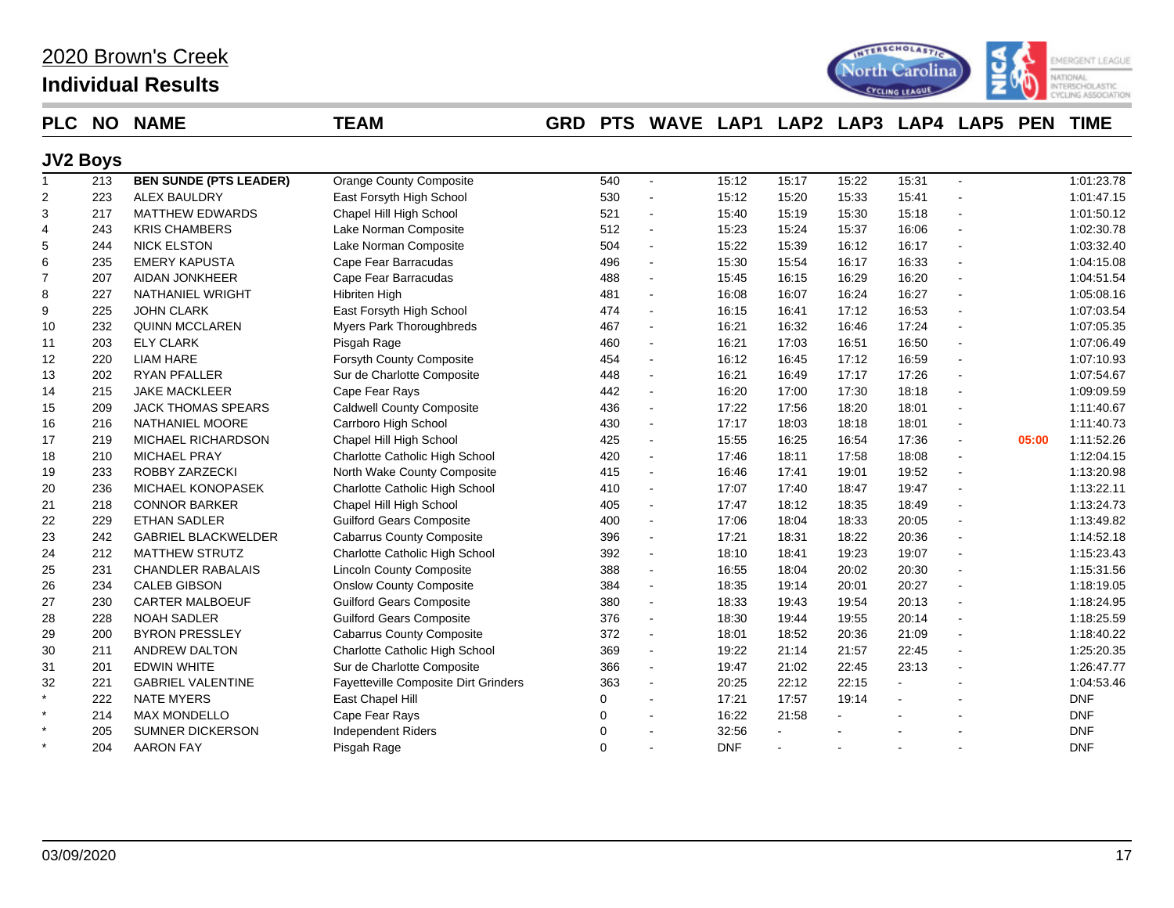## **Individual Results**



### **PLC NO NAME TEAM GRD PTS WAVE LAP1 LAP2 LAP3 LAP4 LAP5 PEN TIME**

### **JV2 Boys**

| $\mathbf{1}$   | 213 | <b>BEN SUNDE (PTS LEADER)</b> | <b>Orange County Composite</b>       | 540 | $\blacksquare$ | 15:12      | 15:17 | 15:22 | 15:31 | $\sim$                   | 1:01:23.78          |
|----------------|-----|-------------------------------|--------------------------------------|-----|----------------|------------|-------|-------|-------|--------------------------|---------------------|
| $\overline{2}$ | 223 | <b>ALEX BAULDRY</b>           | East Forsyth High School             | 530 |                | 15:12      | 15:20 | 15:33 | 15:41 |                          | 1:01:47.15          |
| 3              | 217 | <b>MATTHEW EDWARDS</b>        | Chapel Hill High School              | 521 |                | 15:40      | 15:19 | 15:30 | 15:18 |                          | 1:01:50.12          |
| 4              | 243 | <b>KRIS CHAMBERS</b>          | Lake Norman Composite                | 512 | $\blacksquare$ | 15:23      | 15:24 | 15:37 | 16:06 |                          | 1:02:30.78          |
| 5              | 244 | <b>NICK ELSTON</b>            | Lake Norman Composite                | 504 | $\blacksquare$ | 15:22      | 15:39 | 16:12 | 16:17 | ÷,                       | 1:03:32.40          |
| 6              | 235 | <b>EMERY KAPUSTA</b>          | Cape Fear Barracudas                 | 496 | $\blacksquare$ | 15:30      | 15:54 | 16:17 | 16:33 | ÷,                       | 1:04:15.08          |
| 7              | 207 | <b>AIDAN JONKHEER</b>         | Cape Fear Barracudas                 | 488 | $\sim$         | 15:45      | 16:15 | 16:29 | 16:20 | ÷,                       | 1:04:51.54          |
| 8              | 227 | <b>NATHANIEL WRIGHT</b>       | <b>Hibriten High</b>                 | 481 | $\blacksquare$ | 16:08      | 16:07 | 16:24 | 16:27 |                          | 1:05:08.16          |
| 9              | 225 | <b>JOHN CLARK</b>             | East Forsyth High School             | 474 | $\sim$         | 16:15      | 16:41 | 17:12 | 16:53 |                          | 1:07:03.54          |
| 10             | 232 | <b>QUINN MCCLAREN</b>         | Myers Park Thoroughbreds             | 467 | $\sim$         | 16:21      | 16:32 | 16:46 | 17:24 | $\overline{a}$           | 1:07:05.35          |
| 11             | 203 | <b>ELY CLARK</b>              | Pisgah Rage                          | 460 | $\blacksquare$ | 16:21      | 17:03 | 16:51 | 16:50 | $\overline{a}$           | 1:07:06.49          |
| 12             | 220 | <b>LIAM HARE</b>              | Forsyth County Composite             | 454 |                | 16:12      | 16:45 | 17:12 | 16:59 | $\overline{a}$           | 1:07:10.93          |
| 13             | 202 | <b>RYAN PFALLER</b>           | Sur de Charlotte Composite           | 448 |                | 16:21      | 16:49 | 17:17 | 17:26 | ÷,                       | 1:07:54.67          |
| 14             | 215 | <b>JAKE MACKLEER</b>          | Cape Fear Rays                       | 442 |                | 16:20      | 17:00 | 17:30 | 18:18 |                          | 1:09:09.59          |
| 15             | 209 | <b>JACK THOMAS SPEARS</b>     | <b>Caldwell County Composite</b>     | 436 | $\blacksquare$ | 17:22      | 17:56 | 18:20 | 18:01 |                          | 1:11:40.67          |
| 16             | 216 | NATHANIEL MOORE               | Carrboro High School                 | 430 | $\blacksquare$ | 17:17      | 18:03 | 18:18 | 18:01 |                          | 1:11:40.73          |
| 17             | 219 | MICHAEL RICHARDSON            | Chapel Hill High School              | 425 |                | 15:55      | 16:25 | 16:54 | 17:36 | $\blacksquare$           | 05:00<br>1:11:52.26 |
| 18             | 210 | MICHAEL PRAY                  | Charlotte Catholic High School       | 420 |                | 17:46      | 18:11 | 17:58 | 18:08 | $\blacksquare$           | 1:12:04.15          |
| 19             | 233 | ROBBY ZARZECKI                | North Wake County Composite          | 415 | $\blacksquare$ | 16:46      | 17:41 | 19:01 | 19:52 | $\overline{a}$           | 1:13:20.98          |
| 20             | 236 | MICHAEL KONOPASEK             | Charlotte Catholic High School       | 410 |                | 17:07      | 17:40 | 18:47 | 19:47 | $\overline{\phantom{a}}$ | 1:13:22.11          |
| 21             | 218 | <b>CONNOR BARKER</b>          | Chapel Hill High School              | 405 | $\blacksquare$ | 17:47      | 18:12 | 18:35 | 18:49 |                          | 1:13:24.73          |
| 22             | 229 | <b>ETHAN SADLER</b>           | <b>Guilford Gears Composite</b>      | 400 | $\blacksquare$ | 17:06      | 18:04 | 18:33 | 20:05 |                          | 1:13:49.82          |
| 23             | 242 | <b>GABRIEL BLACKWELDER</b>    | <b>Cabarrus County Composite</b>     | 396 | $\sim$         | 17:21      | 18:31 | 18:22 | 20:36 | $\ddot{\phantom{a}}$     | 1:14:52.18          |
| 24             | 212 | <b>MATTHEW STRUTZ</b>         | Charlotte Catholic High School       | 392 | $\blacksquare$ | 18:10      | 18:41 | 19:23 | 19:07 | $\overline{a}$           | 1:15:23.43          |
| 25             | 231 | <b>CHANDLER RABALAIS</b>      | <b>Lincoln County Composite</b>      | 388 |                | 16:55      | 18:04 | 20:02 | 20:30 | $\overline{a}$           | 1:15:31.56          |
| 26             | 234 | <b>CALEB GIBSON</b>           | <b>Onslow County Composite</b>       | 384 | $\blacksquare$ | 18:35      | 19:14 | 20:01 | 20:27 | $\overline{a}$           | 1:18:19.05          |
| 27             | 230 | <b>CARTER MALBOEUF</b>        | <b>Guilford Gears Composite</b>      | 380 | $\blacksquare$ | 18:33      | 19:43 | 19:54 | 20:13 | $\overline{a}$           | 1:18:24.95          |
| 28             | 228 | <b>NOAH SADLER</b>            | <b>Guilford Gears Composite</b>      | 376 | $\blacksquare$ | 18:30      | 19:44 | 19:55 | 20:14 |                          | 1:18:25.59          |
| 29             | 200 | <b>BYRON PRESSLEY</b>         | <b>Cabarrus County Composite</b>     | 372 | $\blacksquare$ | 18:01      | 18:52 | 20:36 | 21:09 |                          | 1:18:40.22          |
| 30             | 211 | ANDREW DALTON                 | Charlotte Catholic High School       | 369 | $\blacksquare$ | 19:22      | 21:14 | 21:57 | 22:45 |                          | 1:25:20.35          |
| 31             | 201 | <b>EDWIN WHITE</b>            | Sur de Charlotte Composite           | 366 | $\blacksquare$ | 19:47      | 21:02 | 22:45 | 23:13 |                          | 1:26:47.77          |
| 32             | 221 | <b>GABRIEL VALENTINE</b>      | Fayetteville Composite Dirt Grinders | 363 | $\blacksquare$ | 20:25      | 22:12 | 22:15 |       |                          | 1:04:53.46          |
| $\star$        | 222 | <b>NATE MYERS</b>             | East Chapel Hill                     | 0   |                | 17:21      | 17:57 | 19:14 |       |                          | <b>DNF</b>          |
| $\star$        | 214 | <b>MAX MONDELLO</b>           | Cape Fear Rays                       | 0   |                | 16:22      | 21:58 |       |       |                          | <b>DNF</b>          |
| $\star$        | 205 | <b>SUMNER DICKERSON</b>       | <b>Independent Riders</b>            | 0   |                | 32:56      |       |       |       |                          | <b>DNF</b>          |
| $\star$        | 204 | <b>AARON FAY</b>              | Pisgah Rage                          | 0   |                | <b>DNF</b> |       |       |       |                          | <b>DNF</b>          |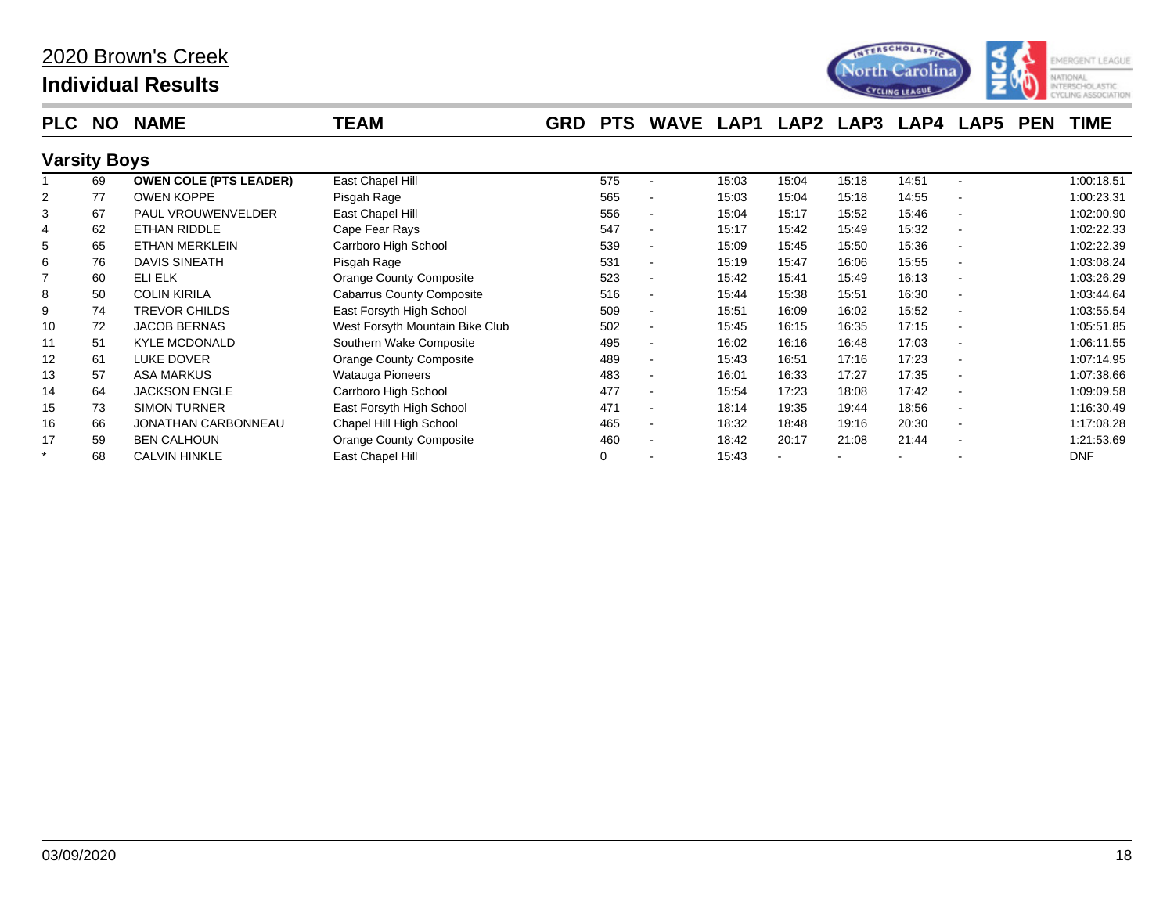

| <b>PLC</b>          | <b>NO</b> | <b>NAME</b>                   | <b>TEAM</b>                      | <b>GRD</b> | <b>PTS</b> | <b>WAVE</b>              | LAP1  |       | LAP2 LAP3 | <b>LAP4 LAP5</b> |                          | <b>PEN</b> | <b>TIME</b> |
|---------------------|-----------|-------------------------------|----------------------------------|------------|------------|--------------------------|-------|-------|-----------|------------------|--------------------------|------------|-------------|
| <b>Varsity Boys</b> |           |                               |                                  |            |            |                          |       |       |           |                  |                          |            |             |
|                     | 69        | <b>OWEN COLE (PTS LEADER)</b> | East Chapel Hill                 |            | 575        |                          | 15:03 | 15:04 | 15:18     | 14:51            | $\overline{\phantom{a}}$ |            | 1:00:18.51  |
|                     | 77        | <b>OWEN KOPPE</b>             | Pisgah Rage                      |            | 565        |                          | 15:03 | 15:04 | 15:18     | 14:55            |                          |            | 1:00:23.31  |
| 3                   | 67        | <b>PAUL VROUWENVELDER</b>     | East Chapel Hill                 |            | 556        | $\blacksquare$           | 15:04 | 15:17 | 15:52     | 15:46            | $\overline{\phantom{a}}$ |            | 1:02:00.90  |
| 4                   | 62        | ETHAN RIDDLE                  | Cape Fear Rays                   |            | 547        | $\blacksquare$           | 15:17 | 15:42 | 15:49     | 15:32            |                          |            | 1:02:22.33  |
| 5                   | 65        | <b>ETHAN MERKLEIN</b>         | Carrboro High School             |            | 539        | $\blacksquare$           | 15:09 | 15:45 | 15:50     | 15:36            | $\overline{\phantom{a}}$ |            | 1:02:22.39  |
| 6                   | 76        | DAVIS SINEATH                 | Pisgah Rage                      |            | 531        | $\blacksquare$           | 15:19 | 15:47 | 16:06     | 15:55            |                          |            | 1:03:08.24  |
|                     | 60        | ELI ELK                       | Orange County Composite          |            | 523        |                          | 15:42 | 15:41 | 15:49     | 16:13            | $\overline{\phantom{a}}$ |            | 1:03:26.29  |
| 8                   | 50        | <b>COLIN KIRILA</b>           | <b>Cabarrus County Composite</b> |            | 516        | $\overline{\phantom{a}}$ | 15:44 | 15:38 | 15:51     | 16:30            |                          |            | 1:03:44.64  |
| 9                   | 74        | <b>TREVOR CHILDS</b>          | East Forsyth High School         |            | 509        | $\overline{\phantom{a}}$ | 15:51 | 16:09 | 16:02     | 15:52            |                          |            | 1:03:55.54  |
| 10                  | 72        | <b>JACOB BERNAS</b>           | West Forsyth Mountain Bike Club  |            | 502        | $\blacksquare$           | 15:45 | 16:15 | 16:35     | 17:15            |                          |            | 1:05:51.85  |
| 11                  | 51        | <b>KYLE MCDONALD</b>          | Southern Wake Composite          |            | 495        | $\blacksquare$           | 16:02 | 16:16 | 16:48     | 17:03            |                          |            | 1:06:11.55  |
| 12                  | 61        | <b>LUKE DOVER</b>             | Orange County Composite          |            | 489        | $\blacksquare$           | 15:43 | 16:51 | 17:16     | 17:23            |                          |            | 1:07:14.95  |
| 13                  | 57        | <b>ASA MARKUS</b>             | Watauga Pioneers                 |            | 483        | $\overline{\phantom{a}}$ | 16:01 | 16:33 | 17:27     | 17:35            |                          |            | 1:07:38.66  |
| 14                  | 64        | <b>JACKSON ENGLE</b>          | Carrboro High School             |            | 477        | $\blacksquare$           | 15:54 | 17:23 | 18:08     | 17:42            | $\overline{\phantom{a}}$ |            | 1:09:09.58  |
| 15                  | 73        | <b>SIMON TURNER</b>           | East Forsyth High School         |            | 471        |                          | 18:14 | 19:35 | 19:44     | 18:56            |                          |            | 1:16:30.49  |
| 16                  | 66        | JONATHAN CARBONNEAU           | Chapel Hill High School          |            | 465        | $\blacksquare$           | 18:32 | 18:48 | 19:16     | 20:30            | $\overline{\phantom{a}}$ |            | 1:17:08.28  |
| 17                  | 59        | <b>BEN CALHOUN</b>            | <b>Orange County Composite</b>   |            | 460        | $\overline{\phantom{a}}$ | 18:42 | 20:17 | 21:08     | 21:44            |                          |            | 1:21:53.69  |
| $\star$             | 68        | <b>CALVIN HINKLE</b>          | East Chapel Hill                 |            | 0          |                          | 15:43 |       |           |                  |                          |            | <b>DNF</b>  |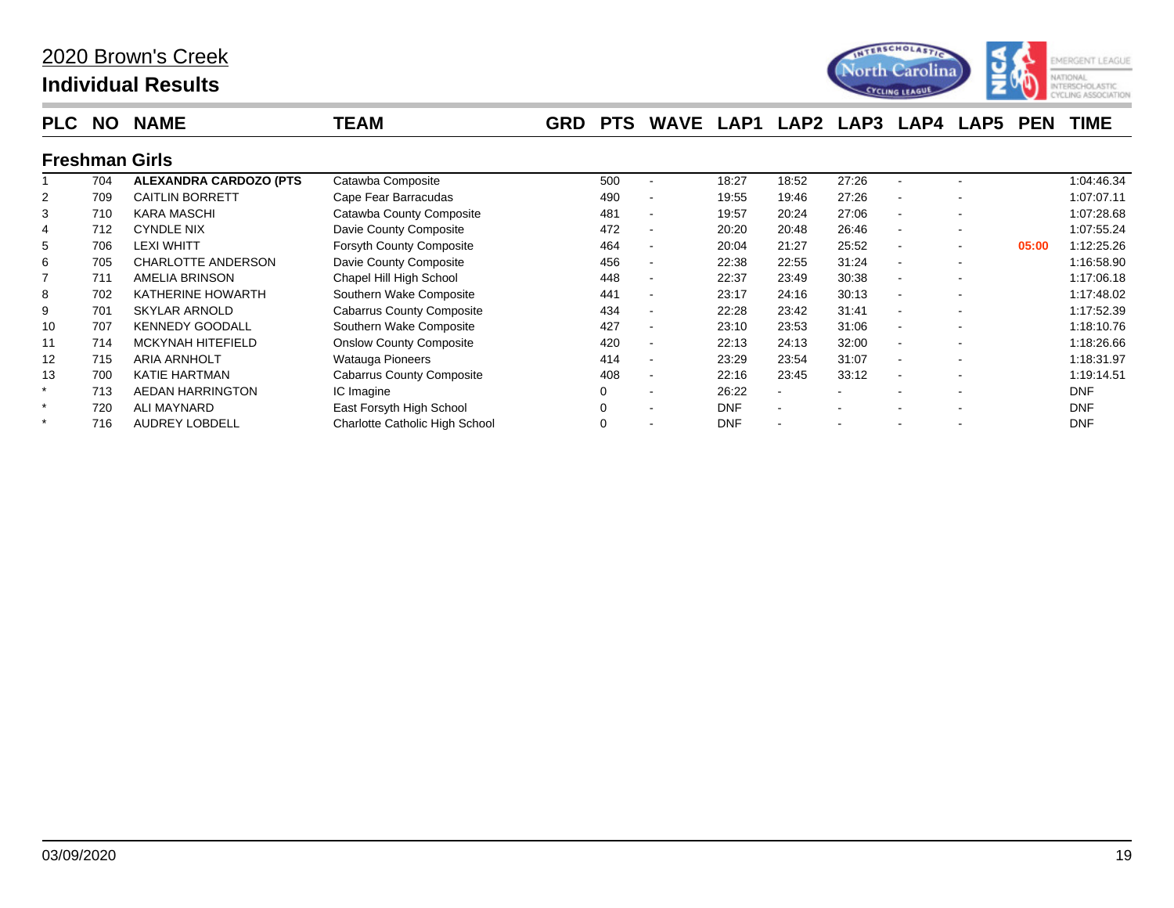

| <b>PLC</b>        | NO. | <b>NAME</b>                    | <b>TEAM</b>                           | <b>GRD</b> | <b>PTS</b> | <b>WAVE</b>              | LAP1       | LAP <sub>2</sub>         | LAP3  | LAP4                     | LAP <sub>5</sub> | <b>PEN</b> | TIME       |
|-------------------|-----|--------------------------------|---------------------------------------|------------|------------|--------------------------|------------|--------------------------|-------|--------------------------|------------------|------------|------------|
|                   |     | <b>Freshman Girls</b>          |                                       |            |            |                          |            |                          |       |                          |                  |            |            |
|                   | 704 | <b>ALEXANDRA CARDOZO (PTS)</b> | Catawba Composite                     |            | 500        |                          | 18:27      | 18:52                    | 27:26 |                          |                  |            | 1:04:46.34 |
|                   | 709 | <b>CAITLIN BORRETT</b>         | Cape Fear Barracudas                  |            | 490        | $\sim$                   | 19:55      | 19:46                    | 27:26 | $\sim$                   |                  |            | 1:07:07.11 |
| 3                 | 710 | <b>KARA MASCHI</b>             | Catawba County Composite              |            | 481        |                          | 19:57      | 20:24                    | 27:06 | ۰                        |                  |            | 1:07:28.68 |
|                   | 712 | <b>CYNDLE NIX</b>              | Davie County Composite                |            | 472        | $\sim$                   | 20:20      | 20:48                    | 26:46 | $\sim$                   |                  |            | 1:07:55.24 |
|                   | 706 | <b>LEXI WHITT</b>              | <b>Forsyth County Composite</b>       |            | 464        | $\blacksquare$           | 20:04      | 21:27                    | 25:52 | ٠                        |                  | 05:00      | 1:12:25.26 |
| 6                 | 705 | <b>CHARLOTTE ANDERSON</b>      | Davie County Composite                |            | 456        | $\blacksquare$           | 22:38      | 22:55                    | 31:24 | $\blacksquare$           |                  |            | 1:16:58.90 |
|                   | 711 | <b>AMELIA BRINSON</b>          | Chapel Hill High School               |            | 448        | $\sim$                   | 22:37      | 23:49                    | 30:38 | $\overline{\phantom{a}}$ |                  |            | 1:17:06.18 |
| 8                 | 702 | KATHERINE HOWARTH              | Southern Wake Composite               |            | 441        | $\overline{\phantom{a}}$ | 23:17      | 24:16                    | 30:13 |                          |                  |            | 1:17:48.02 |
| 9                 | 701 | <b>SKYLAR ARNOLD</b>           | <b>Cabarrus County Composite</b>      |            | 434        | $\sim$                   | 22:28      | 23:42                    | 31:41 | $\overline{\phantom{a}}$ |                  |            | 1:17:52.39 |
| 10                | 707 | <b>KENNEDY GOODALL</b>         | Southern Wake Composite               |            | 427        | $\sim$                   | 23:10      | 23:53                    | 31:06 | $\sim$                   |                  |            | 1:18:10.76 |
| 11                | 714 | <b>MCKYNAH HITEFIELD</b>       | <b>Onslow County Composite</b>        |            | 420        | $\overline{\phantom{a}}$ | 22:13      | 24:13                    | 32:00 | $\sim$                   |                  |            | 1:18:26.66 |
| $12 \overline{ }$ | 715 | <b>ARIA ARNHOLT</b>            | <b>Watauga Pioneers</b>               |            | 414        | $\overline{\phantom{a}}$ | 23:29      | 23:54                    | 31:07 | $\overline{\phantom{a}}$ |                  |            | 1:18:31.97 |
| 13                | 700 | <b>KATIE HARTMAN</b>           | <b>Cabarrus County Composite</b>      |            | 408        | $\blacksquare$           | 22:16      | 23:45                    | 33:12 | $\sim$                   |                  |            | 1:19:14.51 |
|                   | 713 | <b>AEDAN HARRINGTON</b>        | IC Imagine                            |            | 0          |                          | 26:22      | $\overline{\phantom{a}}$ |       |                          | ٠                |            | <b>DNF</b> |
| $\star$           | 720 | <b>ALI MAYNARD</b>             | East Forsyth High School              |            | 0          | $\sim$                   | <b>DNF</b> |                          |       |                          |                  |            | <b>DNF</b> |
|                   | 716 | <b>AUDREY LOBDELL</b>          | <b>Charlotte Catholic High School</b> |            | 0          |                          | <b>DNF</b> |                          |       |                          |                  |            | <b>DNF</b> |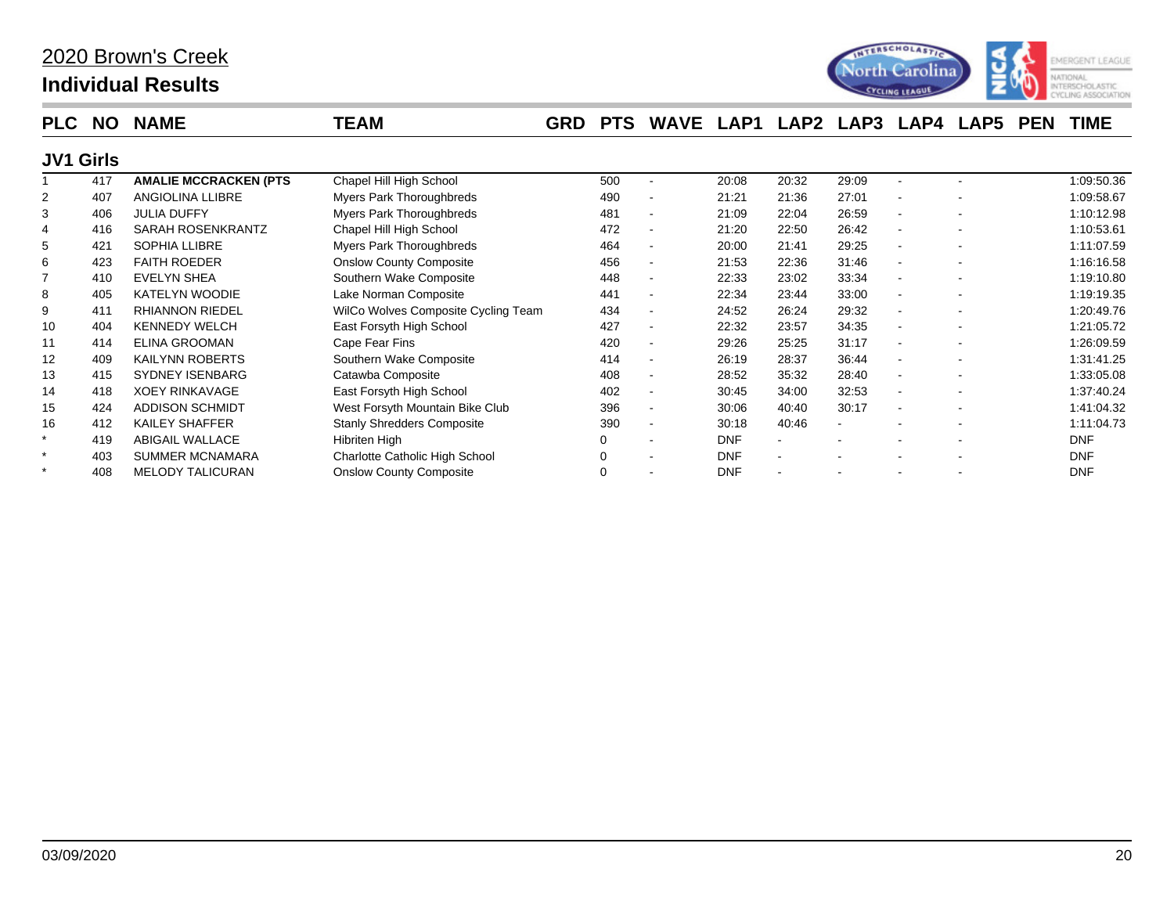

| <b>PLC</b>       | <b>NO</b> | <b>NAME</b>                  | TEAM                                | <b>GRD</b> | <b>PTS</b> | <b>WAVE</b>              | LAP1       | LAP <sub>2</sub> | LAP3  | LAP4                         | LAP <sub>5</sub>         | <b>PEN</b> | <b>TIME</b> |
|------------------|-----------|------------------------------|-------------------------------------|------------|------------|--------------------------|------------|------------------|-------|------------------------------|--------------------------|------------|-------------|
| <b>JV1 Girls</b> |           |                              |                                     |            |            |                          |            |                  |       |                              |                          |            |             |
|                  | 417       | <b>AMALIE MCCRACKEN (PTS</b> | Chapel Hill High School             |            | 500        |                          | 20:08      | 20:32            | 29:09 | $\qquad \qquad \blacksquare$ |                          |            | 1:09:50.36  |
|                  | 407       | ANGIOLINA LLIBRE             | Myers Park Thoroughbreds            |            | 490        | $\blacksquare$           | 21:21      | 21:36            | 27:01 | $\blacksquare$               |                          |            | 1:09:58.67  |
| 3                | 406       | <b>JULIA DUFFY</b>           | Myers Park Thoroughbreds            |            | 481        |                          | 21:09      | 22:04            | 26:59 | $\qquad \qquad \blacksquare$ |                          |            | 1:10:12.98  |
|                  | 416       | SARAH ROSENKRANTZ            | Chapel Hill High School             |            | 472        | $\blacksquare$           | 21:20      | 22:50            | 26:42 | $\overline{\phantom{0}}$     |                          |            | 1:10:53.61  |
| 5                | 421       | <b>SOPHIA LLIBRE</b>         | Myers Park Thoroughbreds            |            | 464        | $\overline{\phantom{a}}$ | 20:00      | 21:41            | 29:25 | $\blacksquare$               |                          |            | 1:11:07.59  |
| 6                | 423       | <b>FAITH ROEDER</b>          | <b>Onslow County Composite</b>      |            | 456        |                          | 21:53      | 22:36            | 31:46 |                              |                          |            | 1:16:16.58  |
|                  | 410       | <b>EVELYN SHEA</b>           | Southern Wake Composite             |            | 448        |                          | 22:33      | 23:02            | 33:34 | $\overline{\phantom{0}}$     |                          |            | 1:19:10.80  |
| 8                | 405       | <b>KATELYN WOODIE</b>        | Lake Norman Composite               |            | 441        | $\blacksquare$           | 22:34      | 23:44            | 33:00 | $\blacksquare$               |                          |            | 1:19:19.35  |
| 9                | 411       | <b>RHIANNON RIEDEL</b>       | WilCo Wolves Composite Cycling Team |            | 434        |                          | 24:52      | 26:24            | 29:32 | ä,                           |                          |            | 1:20:49.76  |
| 10               | 404       | <b>KENNEDY WELCH</b>         | East Forsyth High School            |            | 427        |                          | 22:32      | 23:57            | 34:35 | ٠                            |                          |            | 1:21:05.72  |
| 11               | 414       | ELINA GROOMAN                | Cape Fear Fins                      |            | 420        | $\blacksquare$           | 29:26      | 25:25            | 31:17 | $\overline{\phantom{0}}$     |                          |            | 1:26:09.59  |
| 12               | 409       | <b>KAILYNN ROBERTS</b>       | Southern Wake Composite             |            | 414        |                          | 26:19      | 28:37            | 36:44 |                              |                          |            | 1:31:41.25  |
| 13               | 415       | <b>SYDNEY ISENBARG</b>       | Catawba Composite                   |            | 408        |                          | 28:52      | 35:32            | 28:40 | ٠                            |                          |            | 1:33:05.08  |
| 14               | 418       | <b>XOEY RINKAVAGE</b>        | East Forsyth High School            |            | 402        | $\blacksquare$           | 30:45      | 34:00            | 32:53 | $\blacksquare$               |                          |            | 1:37:40.24  |
| 15               | 424       | <b>ADDISON SCHMIDT</b>       | West Forsyth Mountain Bike Club     |            | 396        | $\blacksquare$           | 30:06      | 40:40            | 30:17 | $\blacksquare$               | $\overline{\phantom{a}}$ |            | 1:41:04.32  |
| 16               | 412       | <b>KAILEY SHAFFER</b>        | <b>Stanly Shredders Composite</b>   |            | 390        |                          | 30:18      | 40:46            |       |                              |                          |            | 1:11:04.73  |
|                  | 419       | <b>ABIGAIL WALLACE</b>       | Hibriten High                       |            |            |                          | <b>DNF</b> |                  |       |                              |                          |            | <b>DNF</b>  |
|                  | 403       | <b>SUMMER MCNAMARA</b>       | Charlotte Catholic High School      |            | 0          |                          | <b>DNF</b> | $\blacksquare$   |       |                              |                          |            | <b>DNF</b>  |
|                  | 408       | <b>MELODY TALICURAN</b>      | <b>Onslow County Composite</b>      |            | 0          |                          | <b>DNF</b> |                  |       |                              |                          |            | <b>DNF</b>  |
|                  |           |                              |                                     |            |            |                          |            |                  |       |                              |                          |            |             |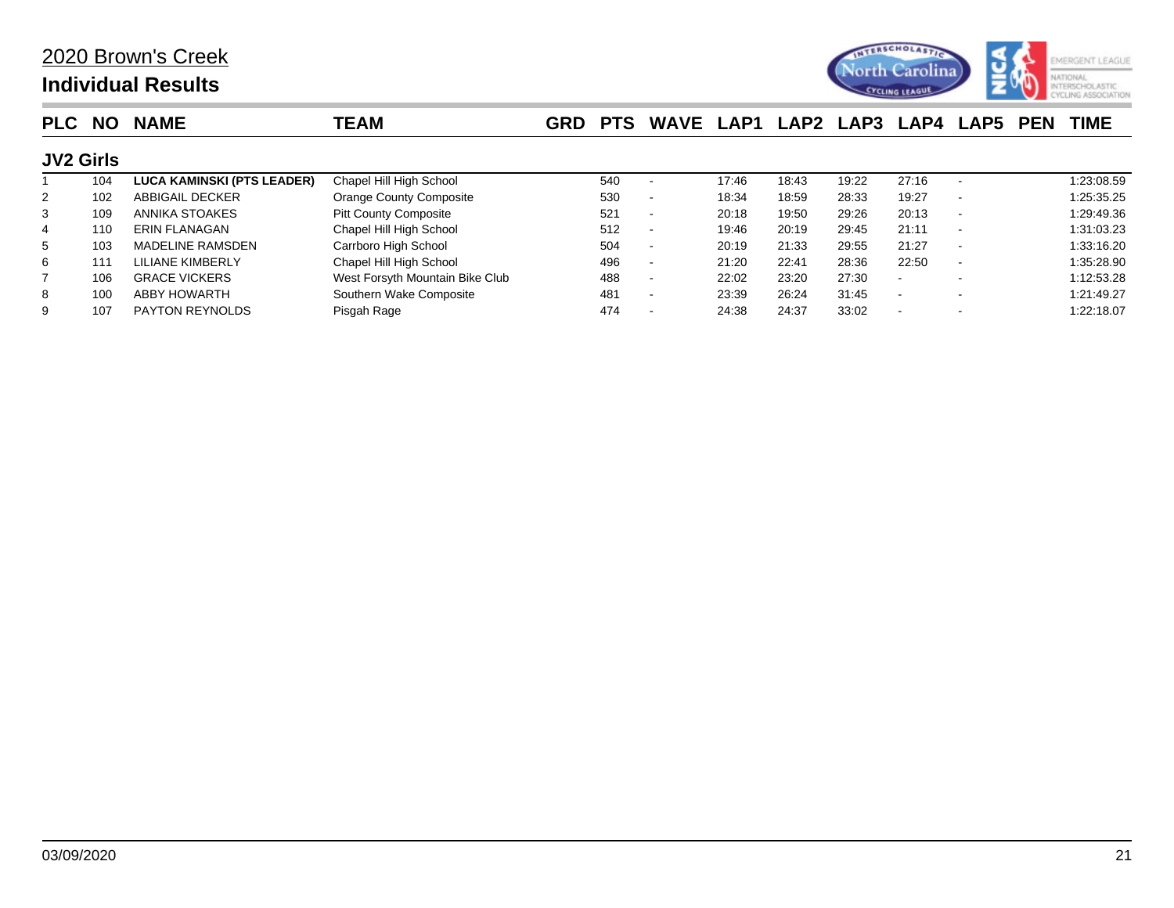

| <b>PLC</b>       | <b>NO</b> | <b>NAME</b>                       | <b>TEAM</b>                     | <b>GRD</b> | <b>PTS</b> | WAVE LAP1 LAP2 |       |       | LAP3  | LAP4  | <b>LAP5</b>              | <b>PEN</b> | <b>TIME</b> |
|------------------|-----------|-----------------------------------|---------------------------------|------------|------------|----------------|-------|-------|-------|-------|--------------------------|------------|-------------|
| <b>JV2 Girls</b> |           |                                   |                                 |            |            |                |       |       |       |       |                          |            |             |
|                  | 104       | <b>LUCA KAMINSKI (PTS LEADER)</b> | Chapel Hill High School         |            | 540        |                | 17:46 | 18:43 | 19:22 | 27:16 |                          |            | 1:23:08.59  |
| 2                | 102       | ABBIGAIL DECKER                   | Orange County Composite         |            | 530        |                | 18:34 | 18:59 | 28:33 | 19:27 |                          |            | 1:25:35.25  |
| 3                | 109       | ANNIKA STOAKES                    | <b>Pitt County Composite</b>    |            | 521        |                | 20:18 | 19:50 | 29:26 | 20:13 | $\overline{\phantom{0}}$ |            | 1:29:49.36  |
| $\overline{4}$   | 110       | <b>ERIN FLANAGAN</b>              | Chapel Hill High School         |            | 512        |                | 19:46 | 20:19 | 29:45 | 21:11 |                          |            | 1:31:03.23  |
| 5                | 103       | <b>MADELINE RAMSDEN</b>           | Carrboro High School            |            | 504        |                | 20:19 | 21:33 | 29:55 | 21:27 | $\sim$                   |            | 1:33:16.20  |
| 6                | 111       | LILIANE KIMBERLY                  | Chapel Hill High School         |            | 496        |                | 21:20 | 22:41 | 28:36 | 22:50 |                          |            | 1:35:28.90  |
|                  | 106       | <b>GRACE VICKERS</b>              | West Forsyth Mountain Bike Club |            | 488        |                | 22:02 | 23:20 | 27:30 |       |                          |            | 1:12:53.28  |
| 8                | 100       | <b>ABBY HOWARTH</b>               | Southern Wake Composite         |            | 481        |                | 23:39 | 26:24 | 31:45 |       |                          |            | 1:21:49.27  |
| 9                | 107       | <b>PAYTON REYNOLDS</b>            | Pisgah Rage                     |            | 474        |                | 24:38 | 24:37 | 33:02 |       |                          |            | 1:22:18.07  |